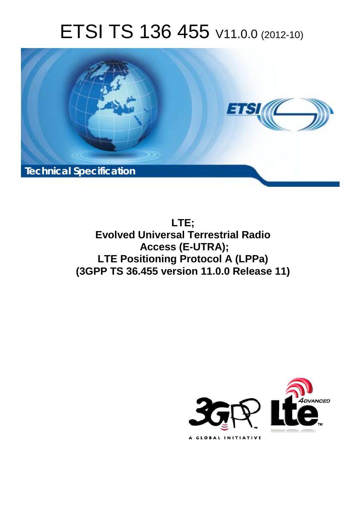# ETSI TS 136 455 V11.0.0 (2012-10)



**LTE; Evolved Universal Terrestrial Radio Access (E-UTRA); LTE Positioning Protocol A (LPPa) (3GPP TS 36.455 version 11.0.0 Release 11)** 

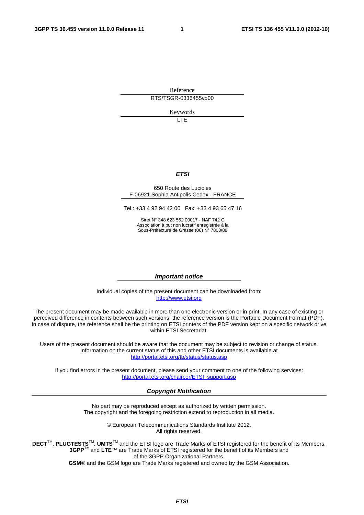Reference RTS/TSGR-0336455vb00

Keywords

LTE

#### *ETSI*

#### 650 Route des Lucioles F-06921 Sophia Antipolis Cedex - FRANCE

Tel.: +33 4 92 94 42 00 Fax: +33 4 93 65 47 16

Siret N° 348 623 562 00017 - NAF 742 C Association à but non lucratif enregistrée à la Sous-Préfecture de Grasse (06) N° 7803/88

#### *Important notice*

Individual copies of the present document can be downloaded from: [http://www.etsi.org](http://www.etsi.org/)

The present document may be made available in more than one electronic version or in print. In any case of existing or perceived difference in contents between such versions, the reference version is the Portable Document Format (PDF). In case of dispute, the reference shall be the printing on ETSI printers of the PDF version kept on a specific network drive within ETSI Secretariat.

Users of the present document should be aware that the document may be subject to revision or change of status. Information on the current status of this and other ETSI documents is available at <http://portal.etsi.org/tb/status/status.asp>

If you find errors in the present document, please send your comment to one of the following services: [http://portal.etsi.org/chaircor/ETSI\\_support.asp](http://portal.etsi.org/chaircor/ETSI_support.asp)

#### *Copyright Notification*

No part may be reproduced except as authorized by written permission. The copyright and the foregoing restriction extend to reproduction in all media.

> © European Telecommunications Standards Institute 2012. All rights reserved.

DECT<sup>™</sup>, PLUGTESTS<sup>™</sup>, UMTS<sup>™</sup> and the ETSI logo are Trade Marks of ETSI registered for the benefit of its Members. **3GPP**TM and **LTE**™ are Trade Marks of ETSI registered for the benefit of its Members and of the 3GPP Organizational Partners.

**GSM**® and the GSM logo are Trade Marks registered and owned by the GSM Association.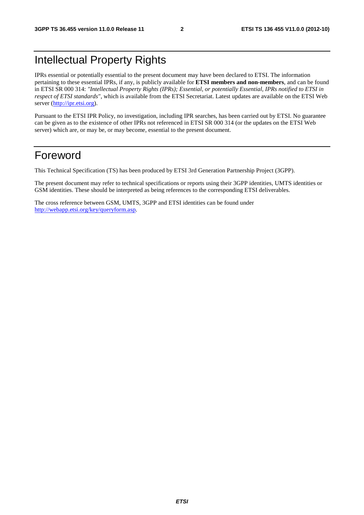### Intellectual Property Rights

IPRs essential or potentially essential to the present document may have been declared to ETSI. The information pertaining to these essential IPRs, if any, is publicly available for **ETSI members and non-members**, and can be found in ETSI SR 000 314: *"Intellectual Property Rights (IPRs); Essential, or potentially Essential, IPRs notified to ETSI in respect of ETSI standards"*, which is available from the ETSI Secretariat. Latest updates are available on the ETSI Web server [\(http://ipr.etsi.org](http://webapp.etsi.org/IPR/home.asp)).

Pursuant to the ETSI IPR Policy, no investigation, including IPR searches, has been carried out by ETSI. No guarantee can be given as to the existence of other IPRs not referenced in ETSI SR 000 314 (or the updates on the ETSI Web server) which are, or may be, or may become, essential to the present document.

### Foreword

This Technical Specification (TS) has been produced by ETSI 3rd Generation Partnership Project (3GPP).

The present document may refer to technical specifications or reports using their 3GPP identities, UMTS identities or GSM identities. These should be interpreted as being references to the corresponding ETSI deliverables.

The cross reference between GSM, UMTS, 3GPP and ETSI identities can be found under <http://webapp.etsi.org/key/queryform.asp>.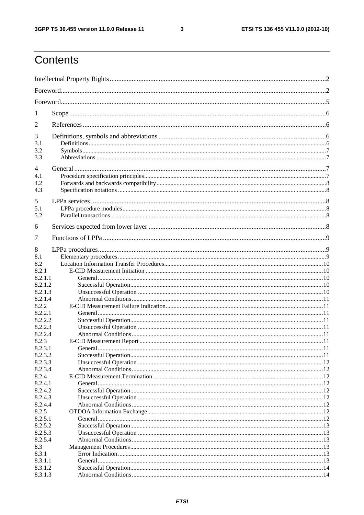$\mathbf{3}$ 

### Contents

| 1                  |  |
|--------------------|--|
| 2                  |  |
| 3                  |  |
| 3.1                |  |
| 3.2<br>3.3         |  |
| 4                  |  |
| 4.1                |  |
| 4.2                |  |
| 4.3                |  |
| 5                  |  |
| 5.1                |  |
| 5.2                |  |
|                    |  |
| 6                  |  |
| 7                  |  |
| 8                  |  |
| 8.1                |  |
| 8.2                |  |
| 8.2.1              |  |
| 8.2.1.1            |  |
| 8.2.1.2            |  |
| 8.2.1.3            |  |
| 8.2.1.4            |  |
| 8.2.2              |  |
| 8.2.2.1            |  |
| 8.2.2.2            |  |
| 8.2.2.3            |  |
| 8.2.2.4            |  |
| 8.2.3              |  |
| 8.2.3.1            |  |
| 8.2.3.2<br>8.2.3.3 |  |
| 8.2.3.4            |  |
| 8.2.4              |  |
| 8.2.4.1            |  |
| 8.2.4.2            |  |
| 8.2.4.3            |  |
| 8.2.4.4            |  |
| 8.2.5              |  |
| 8.2.5.1            |  |
| 8.2.5.2            |  |
| 8.2.5.3            |  |
| 8.2.5.4            |  |
| 8.3                |  |
| 8.3.1              |  |
| 8.3.1.1            |  |
| 8.3.1.2            |  |
| 8.3.1.3            |  |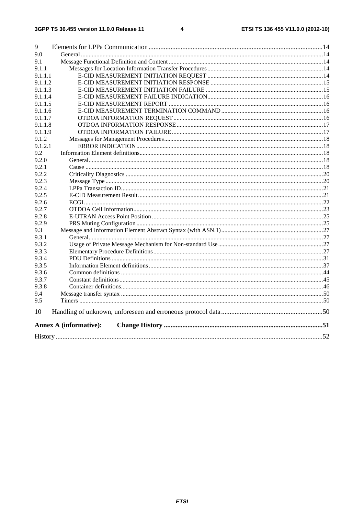| 9       |                               |  |
|---------|-------------------------------|--|
| 9.0     |                               |  |
| 9.1     |                               |  |
| 9.1.1   |                               |  |
| 9.1.1.1 |                               |  |
| 9.1.1.2 |                               |  |
| 9.1.1.3 |                               |  |
| 9.1.1.4 |                               |  |
| 9.1.1.5 |                               |  |
| 9.1.1.6 |                               |  |
| 9.1.1.7 |                               |  |
| 9.1.1.8 |                               |  |
| 9.1.1.9 |                               |  |
| 9.1.2   |                               |  |
| 9.1.2.1 |                               |  |
| 9.2     |                               |  |
| 9.2.0   |                               |  |
| 9.2.1   |                               |  |
| 9.2.2   |                               |  |
| 9.2.3   |                               |  |
| 9.2.4   |                               |  |
| 9.2.5   |                               |  |
| 9.2.6   |                               |  |
| 9.2.7   |                               |  |
| 9.2.8   |                               |  |
| 9.2.9   |                               |  |
| 9.3     |                               |  |
| 9.3.1   |                               |  |
| 9.3.2   |                               |  |
| 9.3.3   |                               |  |
| 9.3.4   |                               |  |
| 9.3.5   |                               |  |
| 9.3.6   |                               |  |
| 9.3.7   |                               |  |
| 9.3.8   |                               |  |
| 9.4     |                               |  |
| 9.5     |                               |  |
| 10      |                               |  |
|         | <b>Annex A (informative):</b> |  |
|         |                               |  |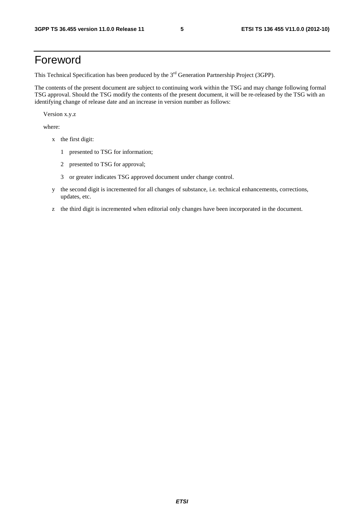### Foreword

This Technical Specification has been produced by the 3<sup>rd</sup> Generation Partnership Project (3GPP).

The contents of the present document are subject to continuing work within the TSG and may change following formal TSG approval. Should the TSG modify the contents of the present document, it will be re-released by the TSG with an identifying change of release date and an increase in version number as follows:

Version x.y.z

where:

- x the first digit:
	- 1 presented to TSG for information;
	- 2 presented to TSG for approval;
	- 3 or greater indicates TSG approved document under change control.
- y the second digit is incremented for all changes of substance, i.e. technical enhancements, corrections, updates, etc.
- z the third digit is incremented when editorial only changes have been incorporated in the document.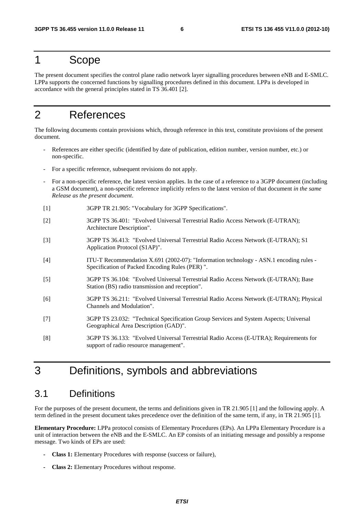### 1 Scope

The present document specifies the control plane radio network layer signalling procedures between eNB and E-SMLC. LPPa supports the concerned functions by signalling procedures defined in this document. LPPa is developed in accordance with the general principles stated in TS 36.401 [2].

### 2 References

The following documents contain provisions which, through reference in this text, constitute provisions of the present document.

- References are either specific (identified by date of publication, edition number, version number, etc.) or non-specific.
- For a specific reference, subsequent revisions do not apply.
- For a non-specific reference, the latest version applies. In the case of a reference to a 3GPP document (including a GSM document), a non-specific reference implicitly refers to the latest version of that document *in the same Release as the present document*.
- [1] 3GPP TR 21.905: "Vocabulary for 3GPP Specifications".
- [2] 3GPP TS 36.401: "Evolved Universal Terrestrial Radio Access Network (E-UTRAN); Architecture Description".
- [3] 3GPP TS 36.413: "Evolved Universal Terrestrial Radio Access Network (E-UTRAN); S1 Application Protocol (S1AP)".
- [4] ITU-T Recommendation X.691 (2002-07): "Information technology ASN.1 encoding rules Specification of Packed Encoding Rules (PER) ".
- [5] 3GPP TS 36.104: "Evolved Universal Terrestrial Radio Access Network (E-UTRAN); Base Station (BS) radio transmission and reception".
- [6] 3GPP TS 36.211: "Evolved Universal Terrestrial Radio Access Network (E-UTRAN); Physical Channels and Modulation".
- [7] 3GPP TS 23.032: "Technical Specification Group Services and System Aspects; Universal Geographical Area Description (GAD)".
- [8] 3GPP TS 36.133: "Evolved Universal Terrestrial Radio Access (E-UTRA); Requirements for support of radio resource management".

### 3 Definitions, symbols and abbreviations

### 3.1 Definitions

For the purposes of the present document, the terms and definitions given in TR 21.905 [1] and the following apply. A term defined in the present document takes precedence over the definition of the same term, if any, in TR 21.905 [1].

**Elementary Procedure:** LPPa protocol consists of Elementary Procedures (EPs). An LPPa Elementary Procedure is a unit of interaction between the eNB and the E-SMLC. An EP consists of an initiating message and possibly a response message. Two kinds of EPs are used:

- **Class 1:** Elementary Procedures with response (success or failure),
- **Class 2:** Elementary Procedures without response.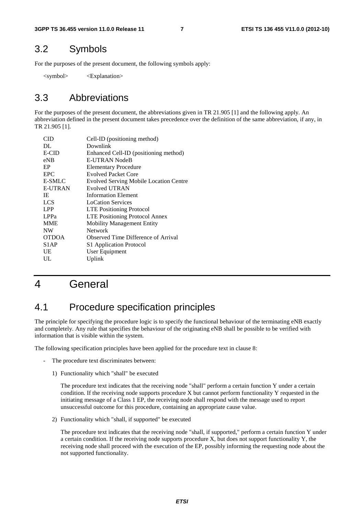### 3.2 Symbols

For the purposes of the present document, the following symbols apply:

<symbol> <Explanation>

### 3.3 Abbreviations

For the purposes of the present document, the abbreviations given in TR 21.905 [1] and the following apply. An abbreviation defined in the present document takes precedence over the definition of the same abbreviation, if any, in TR 21.905 [1].

| CID               | Cell-ID (positioning method)                  |
|-------------------|-----------------------------------------------|
| DL                | Downlink                                      |
| <b>E-CID</b>      | Enhanced Cell-ID (positioning method)         |
| $e$ NB            | E-UTRAN NodeB                                 |
| EP                | <b>Elementary Procedure</b>                   |
| EPC.              | <b>Evolved Packet Core</b>                    |
| E-SMLC            | <b>Evolved Serving Mobile Location Centre</b> |
| <b>E-UTRAN</b>    | Evolved UTRAN                                 |
| IE                | <b>Information Element</b>                    |
| <b>LCS</b>        | <b>LoCation Services</b>                      |
| <b>LPP</b>        | <b>LTE Positioning Protocol</b>               |
| LPP <sub>a</sub>  | <b>LTE Positioning Protocol Annex</b>         |
| <b>MME</b>        | <b>Mobility Management Entity</b>             |
| <b>NW</b>         | Network                                       |
| <b>OTDOA</b>      | Observed Time Difference of Arrival           |
| S <sub>1</sub> AP | S1 Application Protocol                       |
| UE                | User Equipment                                |
| UL                | Uplink                                        |
|                   |                                               |

### 4 General

### 4.1 Procedure specification principles

The principle for specifying the procedure logic is to specify the functional behaviour of the terminating eNB exactly and completely. Any rule that specifies the behaviour of the originating eNB shall be possible to be verified with information that is visible within the system.

The following specification principles have been applied for the procedure text in clause 8:

- The procedure text discriminates between:
	- 1) Functionality which "shall" be executed

 The procedure text indicates that the receiving node "shall" perform a certain function Y under a certain condition. If the receiving node supports procedure X but cannot perform functionality Y requested in the initiating message of a Class 1 EP, the receiving node shall respond with the message used to report unsuccessful outcome for this procedure, containing an appropriate cause value.

2) Functionality which "shall, if supported" be executed

 The procedure text indicates that the receiving node "shall, if supported," perform a certain function Y under a certain condition. If the receiving node supports procedure X, but does not support functionality Y, the receiving node shall proceed with the execution of the EP, possibly informing the requesting node about the not supported functionality.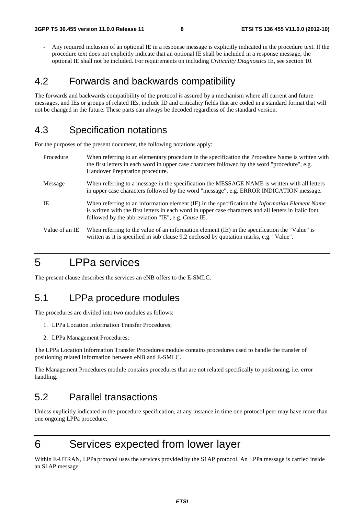- Any required inclusion of an optional IE in a response message is explicitly indicated in the procedure text. If the procedure text does not explicitly indicate that an optional IE shall be included in a response message, the optional IE shall not be included. For requirements on including *Criticality Diagnostics* IE, see section 10.

### 4.2 Forwards and backwards compatibility

The forwards and backwards compatibility of the protocol is assured by a mechanism where all current and future messages, and IEs or groups of related IEs, include ID and criticality fields that are coded in a standard format that will not be changed in the future. These parts can always be decoded regardless of the standard version.

### 4.3 Specification notations

For the purposes of the present document, the following notations apply:

| Procedure      | When referring to an elementary procedure in the specification the Procedure Name is written with<br>the first letters in each word in upper case characters followed by the word "procedure", e.g.<br>Handover Preparation procedure.                                |
|----------------|-----------------------------------------------------------------------------------------------------------------------------------------------------------------------------------------------------------------------------------------------------------------------|
| Message        | When referring to a message in the specification the MESSAGE NAME is written with all letters<br>in upper case characters followed by the word "message", e.g. ERROR INDICATION message.                                                                              |
| IE             | When referring to an information element (IE) in the specification the <i>Information Element Name</i><br>is written with the first letters in each word in upper case characters and all letters in Italic font<br>followed by the abbreviation "IE", e.g. Cause IE. |
| Value of an IE | When referring to the value of an information element (IE) in the specification the "Value" is<br>written as it is specified in sub clause 9.2 enclosed by quotation marks, e.g. "Value".                                                                             |

### 5 LPPa services

The present clause describes the services an eNB offers to the E-SMLC.

### 5.1 LPPa procedure modules

The procedures are divided into two modules as follows:

- 1. LPPa Location Information Transfer Procedures;
- 2. LPPa Management Procedures;

The LPPa Location Information Transfer Procedures module contains procedures used to handle the transfer of positioning related information between eNB and E-SMLC.

The Management Procedures module contains procedures that are not related specifically to positioning, i.e. error handling.

### 5.2 Parallel transactions

Unless explicitly indicated in the procedure specification, at any instance in time one protocol peer may have more than one ongoing LPPa procedure.

### 6 Services expected from lower layer

Within E-UTRAN, LPPa protocol uses the services provided by the S1AP protocol. An LPPa message is carried inside an S1AP message.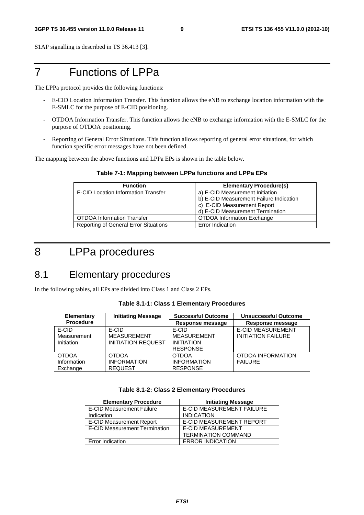S1AP signalling is described in TS 36.413 [3].

### 7 Functions of LPPa

The LPPa protocol provides the following functions:

- E-CID Location Information Transfer. This function allows the eNB to exchange location information with the E-SMLC for the purpose of E-CID positioning.
- OTDOA Information Transfer. This function allows the eNB to exchange information with the E-SMLC for the purpose of OTDOA positioning.
- Reporting of General Error Situations. This function allows reporting of general error situations, for which function specific error messages have not been defined.

The mapping between the above functions and LPPa EPs is shown in the table below.

#### **Table 7-1: Mapping between LPPa functions and LPPa EPs**

| <b>Function</b>                              | <b>Elementary Procedure(s)</b>          |
|----------------------------------------------|-----------------------------------------|
| <b>E-CID Location Information Transfer</b>   | a) E-CID Measurement Initiation         |
|                                              | b) E-CID Measurement Failure Indication |
|                                              | c) E-CID Measurement Report             |
|                                              | d) E-CID Measurement Termination        |
| <b>OTDOA Information Transfer</b>            | <b>OTDOA Information Exchange</b>       |
| <b>Reporting of General Error Situations</b> | Error Indication                        |

### 8 LPPa procedures

### 8.1 Elementary procedures

In the following tables, all EPs are divided into Class 1 and Class 2 EPs.

**Table 8.1-1: Class 1 Elementary Procedures** 

| <b>Initiating Message</b><br><b>Elementary</b> |                           | <b>Successful Outcome</b> | <b>Unsuccessful Outcome</b> |  |
|------------------------------------------------|---------------------------|---------------------------|-----------------------------|--|
| <b>Procedure</b>                               |                           | Response message          | Response message            |  |
| E-CID                                          | E-CID                     | E-CID                     | <b>E-CID MEASUREMENT</b>    |  |
| Measurement                                    | <b>MEASUREMENT</b>        | <b>MEASUREMENT</b>        | <b>INITIATION FAILURE</b>   |  |
| Initiation                                     | <b>INITIATION REQUEST</b> | <b>INITIATION</b>         |                             |  |
|                                                |                           | <b>RESPONSE</b>           |                             |  |
| <b>OTDOA</b>                                   | <b>OTDOA</b>              | <b>OTDOA</b>              | OTDOA INFORMATION           |  |
| Information                                    | <b>INFORMATION</b>        | <b>INFORMATION</b>        | <b>FAILURE</b>              |  |
| Exchange                                       | <b>REQUEST</b>            | <b>RESPONSE</b>           |                             |  |

#### **Table 8.1-2: Class 2 Elementary Procedures**

| <b>Elementary Procedure</b>          | <b>Initiating Message</b>        |
|--------------------------------------|----------------------------------|
| <b>E-CID Measurement Failure</b>     | <b>E-CID MEASUREMENT FAILURE</b> |
| Indication                           | <b>INDICATION</b>                |
| <b>E-CID Measurement Report</b>      | E-CID MEASUREMENT REPORT         |
| <b>E-CID Measurement Termination</b> | <b>E-CID MEASUREMENT</b>         |
|                                      | <b>TERMINATION COMMAND</b>       |
| <b>Error Indication</b>              | <b>ERROR INDICATION</b>          |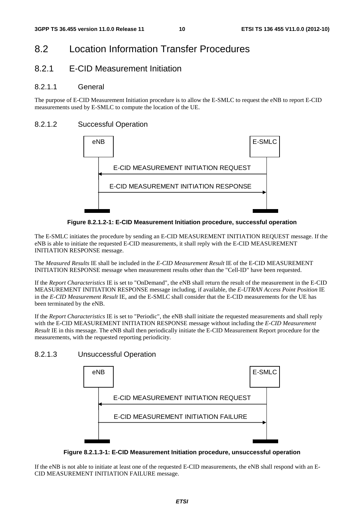### 8.2 Location Information Transfer Procedures

#### 8.2.1 E-CID Measurement Initiation

#### 8.2.1.1 General

The purpose of E-CID Measurement Initiation procedure is to allow the E-SMLC to request the eNB to report E-CID measurements used by E-SMLC to compute the location of the UE.

#### 8.2.1.2 Successful Operation



**Figure 8.2.1.2-1: E-CID Measurement Initiation procedure, successful operation** 

The E-SMLC initiates the procedure by sending an E-CID MEASUREMENT INITIATION REQUEST message. If the eNB is able to initiate the requested E-CID measurements, it shall reply with the E-CID MEASUREMENT INITIATION RESPONSE message.

The *Measured Results* IE shall be included in the *E-CID Measurement Result* IE of the E-CID MEASUREMENT INITIATION RESPONSE message when measurement results other than the "Cell-ID" have been requested.

If the *Report Characteristics* IE is set to "OnDemand", the eNB shall return the result of the measurement in the E-CID MEASUREMENT INITIATION RESPONSE message including, if available, the *E-UTRAN Access Point Position* IE in the *E-CID Measurement Result* IE, and the E-SMLC shall consider that the E-CID measurements for the UE has been terminated by the eNB.

If the *Report Characteristics* IE is set to "Periodic", the eNB shall initiate the requested measurements and shall reply with the E-CID MEASUREMENT INITIATION RESPONSE message without including the *E-CID Measurement Result* IE in this message. The eNB shall then periodically initiate the E-CID Measurement Report procedure for the measurements, with the requested reporting periodicity.

#### 8.2.1.3 Unsuccessful Operation



**Figure 8.2.1.3-1: E-CID Measurement Initiation procedure, unsuccessful operation** 

If the eNB is not able to initiate at least one of the requested E-CID measurements, the eNB shall respond with an E-CID MEASUREMENT INITIATION FAILURE message.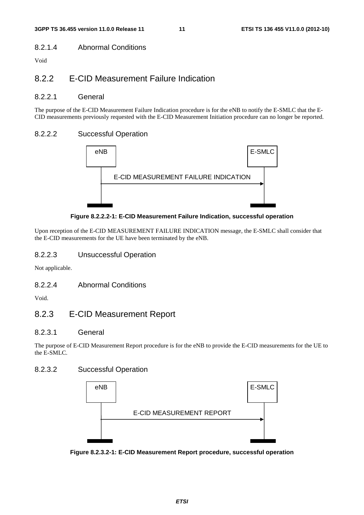#### 8.2.1.4 Abnormal Conditions

Void

### 8.2.2 E-CID Measurement Failure Indication

#### 8.2.2.1 General

The purpose of the E-CID Measurement Failure Indication procedure is for the eNB to notify the E-SMLC that the E-CID measurements previously requested with the E-CID Measurement Initiation procedure can no longer be reported.

#### 8.2.2.2 Successful Operation



**Figure 8.2.2.2-1: E-CID Measurement Failure Indication, successful operation** 

Upon reception of the E-CID MEASUREMENT FAILURE INDICATION message, the E-SMLC shall consider that the E-CID measurements for the UE have been terminated by the eNB.

#### 8.2.2.3 Unsuccessful Operation

Not applicable.

#### 8.2.2.4 Abnormal Conditions

Void.

### 8.2.3 E-CID Measurement Report

#### 8.2.3.1 General

The purpose of E-CID Measurement Report procedure is for the eNB to provide the E-CID measurements for the UE to the E-SMLC.

#### 8.2.3.2 Successful Operation



**Figure 8.2.3.2-1: E-CID Measurement Report procedure, successful operation**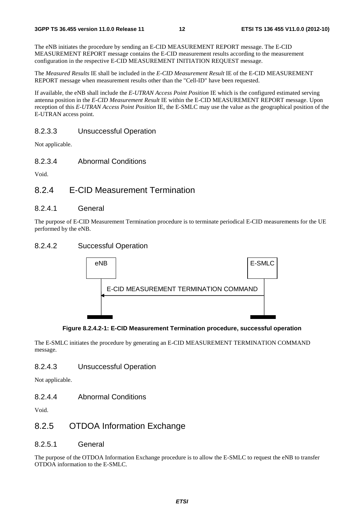The eNB initiates the procedure by sending an E-CID MEASUREMENT REPORT message. The E-CID MEASUREMENT REPORT message contains the E-CID measurement results according to the measurement configuration in the respective E-CID MEASUREMENT INITIATION REQUEST message.

The *Measured Results* IE shall be included in the *E-CID Measurement Result* IE of the E-CID MEASUREMENT REPORT message when measurement results other than the "Cell-ID" have been requested.

If available, the eNB shall include the *E-UTRAN Access Point Position* IE which is the configured estimated serving antenna position in the *E-CID Measurement Result* IE within the E-CID MEASUREMENT REPORT message. Upon reception of this *E-UTRAN Access Point Position* IE, the E-SMLC may use the value as the geographical position of the E-UTRAN access point.

#### 8.2.3.3 Unsuccessful Operation

Not applicable.

8.2.3.4 Abnormal Conditions

Void.

#### 8.2.4 E-CID Measurement Termination

#### 8.2.4.1 General

The purpose of E-CID Measurement Termination procedure is to terminate periodical E-CID measurements for the UE performed by the eNB.

#### 8.2.4.2 Successful Operation





The E-SMLC initiates the procedure by generating an E-CID MEASUREMENT TERMINATION COMMAND message.

#### 8.2.4.3 Unsuccessful Operation

Not applicable.

8.2.4.4 Abnormal Conditions

Void.

#### 8.2.5 OTDOA Information Exchange

8.2.5.1 General

The purpose of the OTDOA Information Exchange procedure is to allow the E-SMLC to request the eNB to transfer OTDOA information to the E-SMLC.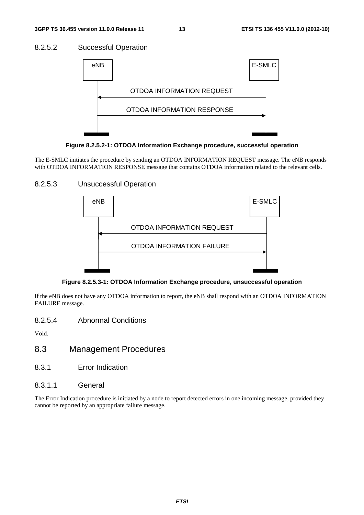#### 8.2.5.2 Successful Operation



**Figure 8.2.5.2-1: OTDOA Information Exchange procedure, successful operation** 

The E-SMLC initiates the procedure by sending an OTDOA INFORMATION REQUEST message. The eNB responds with OTDOA INFORMATION RESPONSE message that contains OTDOA information related to the relevant cells.

#### 8.2.5.3 Unsuccessful Operation



**Figure 8.2.5.3-1: OTDOA Information Exchange procedure, unsuccessful operation** 

If the eNB does not have any OTDOA information to report, the eNB shall respond with an OTDOA INFORMATION FAILURE message.

8.2.5.4 Abnormal Conditions

Void.

- 8.3 Management Procedures
- 8.3.1 Error Indication
- 8.3.1.1 General

The Error Indication procedure is initiated by a node to report detected errors in one incoming message, provided they cannot be reported by an appropriate failure message.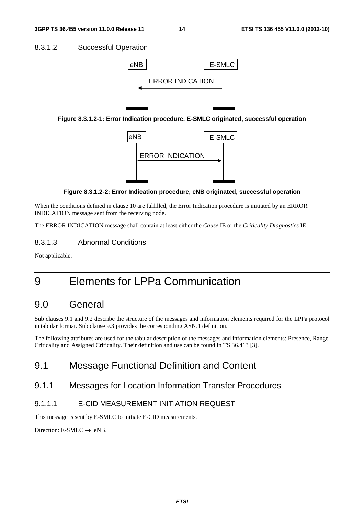#### 8.3.1.2 Successful Operation



**Figure 8.3.1.2-1: Error Indication procedure, E-SMLC originated, successful operation** 



#### **Figure 8.3.1.2-2: Error Indication procedure, eNB originated, successful operation**

When the conditions defined in clause 10 are fulfilled, the Error Indication procedure is initiated by an ERROR INDICATION message sent from the receiving node.

The ERROR INDICATION message shall contain at least either the *Cause* IE or the *Criticality Diagnostics* IE.

#### 8.3.1.3 Abnormal Conditions

Not applicable.

### 9 Elements for LPPa Communication

### 9.0 General

Sub clauses 9.1 and 9.2 describe the structure of the messages and information elements required for the LPPa protocol in tabular format. Sub clause 9.3 provides the corresponding ASN.1 definition.

The following attributes are used for the tabular description of the messages and information elements: Presence, Range Criticality and Assigned Criticality. Their definition and use can be found in TS 36.413 [3].

### 9.1 Message Functional Definition and Content

#### 9.1.1 Messages for Location Information Transfer Procedures

#### 9.1.1.1 E-CID MEASUREMENT INITIATION REQUEST

This message is sent by E-SMLC to initiate E-CID measurements.

Direction: E-SMLC  $\rightarrow$  eNB.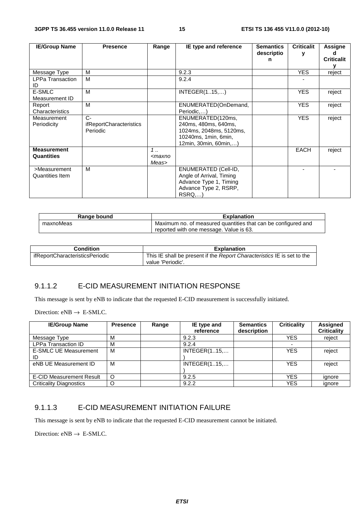| <b>IE/Group Name</b>    | <b>Presence</b>                | Range                                                       | IE type and reference    | <b>Semantics</b><br>descriptio | <b>Criticalit</b> | Assigne           |
|-------------------------|--------------------------------|-------------------------------------------------------------|--------------------------|--------------------------------|-------------------|-------------------|
|                         |                                |                                                             |                          | n                              |                   | <b>Criticalit</b> |
|                         |                                |                                                             |                          |                                |                   |                   |
| Message Type            | м                              |                                                             | 9.2.3                    |                                | <b>YES</b>        | reject            |
| <b>LPPa Transaction</b> | M                              |                                                             | 9.2.4                    |                                |                   |                   |
| ID                      |                                |                                                             |                          |                                |                   |                   |
| E-SMLC                  | м                              |                                                             | INTEGR(115,)             |                                | <b>YES</b>        | reject            |
| Measurement ID          |                                |                                                             |                          |                                |                   |                   |
| Report                  | M                              |                                                             | ENUMERATED(OnDemand,     |                                | <b>YES</b>        | reject            |
| Characteristics         |                                |                                                             | Periodic)                |                                |                   |                   |
| Measurement             | $C-$                           |                                                             | ENUMERATED(120ms,        |                                | <b>YES</b>        | reject            |
| Periodicity             | <i>ifReportCharacteristics</i> |                                                             | 240ms, 480ms, 640ms,     |                                |                   |                   |
|                         | Periodic                       |                                                             | 1024ms, 2048ms, 5120ms,  |                                |                   |                   |
|                         |                                |                                                             | 10240ms, 1min, 6min,     |                                |                   |                   |
|                         |                                |                                                             | 12min, 30min, 60min,)    |                                |                   |                   |
| <b>Measurement</b>      |                                | 1                                                           |                          |                                | <b>EACH</b>       | reject            |
| Quantities              |                                | <maxno< td=""><td></td><td></td><td></td><td></td></maxno<> |                          |                                |                   |                   |
|                         |                                | Meas>                                                       |                          |                                |                   |                   |
| >Measurement            | M                              |                                                             | ENUMERATED (Cell-ID,     |                                |                   |                   |
| Quantities Item         |                                |                                                             | Angle of Arrival, Timing |                                |                   |                   |
|                         |                                |                                                             | Advance Type 1, Timing   |                                |                   |                   |
|                         |                                |                                                             | Advance Type 2, RSRP,    |                                |                   |                   |
|                         |                                |                                                             | RSRQ,)                   |                                |                   |                   |

| Range bound | <b>Explanation</b>                                            |  |  |  |
|-------------|---------------------------------------------------------------|--|--|--|
| maxnoMeas   | Maximum no. of measured quantities that can be configured and |  |  |  |
|             | reported with one message. Value is 63.                       |  |  |  |

| Condition                       | <b>Explanation</b>                                                                           |
|---------------------------------|----------------------------------------------------------------------------------------------|
| ifReportCharacteristicsPeriodic | This IE shall be present if the Report Characteristics IE is set to the<br>value 'Periodic'. |

#### 9.1.1.2 E-CID MEASUREMENT INITIATION RESPONSE

This message is sent by eNB to indicate that the requested E-CID measurement is successfully initiated.

Direction:  $eNB \rightarrow E-SMLC$ .

| <b>IE/Group Name</b>               | <b>Presence</b> | Range | IE type and<br>reference | <b>Semantics</b><br>description | <b>Criticality</b> | Assigned<br><b>Criticality</b> |
|------------------------------------|-----------------|-------|--------------------------|---------------------------------|--------------------|--------------------------------|
| Message Type                       | М               |       | 9.2.3                    |                                 | <b>YES</b>         | reject                         |
| <b>LPPa Transaction ID</b>         | M               |       | 9.2.4                    |                                 |                    |                                |
| <b>E-SMLC UE Measurement</b><br>ID | M               |       | <b>INTEGER(115,</b>      |                                 | <b>YES</b>         | reject                         |
| eNB UE Measurement ID              | М               |       | INTEGR(115,              |                                 | <b>YES</b>         | reject                         |
| <b>E-CID Measurement Result</b>    | $\circ$         |       | 9.2.5                    |                                 | <b>YES</b>         | ignore                         |
| <b>Criticality Diagnostics</b>     |                 |       | 9.2.2                    |                                 | <b>YES</b>         | ignore                         |

#### 9.1.1.3 E-CID MEASUREMENT INITIATION FAILURE

This message is sent by eNB to indicate that the requested E-CID measurement cannot be initiated.

Direction:  $eNB \rightarrow E-SMLC$ .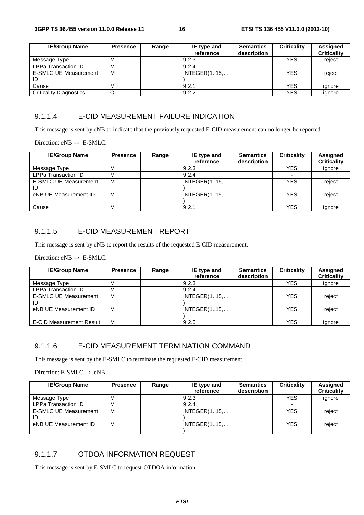| <b>IE/Group Name</b>           | <b>Presence</b> | Range | IE type and  | <b>Semantics</b> | <b>Criticality</b> | Assigned           |
|--------------------------------|-----------------|-------|--------------|------------------|--------------------|--------------------|
|                                |                 |       | reference    | description      |                    | <b>Criticality</b> |
| Message Type                   | М               |       | 9.2.3        |                  | YES                | reject             |
| <b>LPPa Transaction ID</b>     | М               |       | 9.2.4        |                  |                    |                    |
| E-SMLC UE Measurement          | M               |       | INTEGER(115, |                  | <b>YES</b>         | reject             |
| ID                             |                 |       |              |                  |                    |                    |
| Cause                          | М               |       | 9.2.1        |                  | YES                | ignore             |
| <b>Criticality Diagnostics</b> |                 |       | 9.2.2        |                  | YES                | ignore             |

#### 9.1.1.4 E-CID MEASUREMENT FAILURE INDICATION

This message is sent by eNB to indicate that the previously requested E-CID measurement can no longer be reported.

Direction:  $eNB \rightarrow E-SMLC$ .

| <b>IE/Group Name</b>               | <b>Presence</b> | Range | IE type and<br>reference | <b>Semantics</b><br>description | <b>Criticality</b> | Assigned<br><b>Criticality</b> |
|------------------------------------|-----------------|-------|--------------------------|---------------------------------|--------------------|--------------------------------|
| Message Type                       | M               |       | 9.2.3                    |                                 | YES                | ignore                         |
| <b>LPPa Transaction ID</b>         | м               |       | 9.2.4                    |                                 |                    |                                |
| <b>E-SMLC UE Measurement</b><br>ID | м               |       | INTEGR(115,              |                                 | YES                | reject                         |
| eNB UE Measurement ID              | м               |       | <b>INTEGER(115,</b>      |                                 | <b>YES</b>         | reject                         |
| Cause                              | М               |       | 9.2.1                    |                                 | YES                | ignore                         |

#### 9.1.1.5 E-CID MEASUREMENT REPORT

This message is sent by eNB to report the results of the requested E-CID measurement.

Direction:  $eNB \rightarrow E-SMLC$ .

| <b>IE/Group Name</b>               | <b>Presence</b> | Range | IE type and<br>reference | <b>Semantics</b><br>description | <b>Criticality</b> | <b>Assigned</b><br><b>Criticality</b> |
|------------------------------------|-----------------|-------|--------------------------|---------------------------------|--------------------|---------------------------------------|
| Message Type                       | м               |       | 9.2.3                    |                                 | <b>YES</b>         | ignore                                |
| <b>LPPa Transaction ID</b>         | м               |       | 9.2.4                    |                                 |                    |                                       |
| <b>E-SMLC UE Measurement</b><br>ID | м               |       | <b>INTEGER(115,</b>      |                                 | <b>YES</b>         | reject                                |
| eNB UE Measurement ID              | М               |       | INTEGR(115               |                                 | <b>YES</b>         | reject                                |
| <b>E-CID Measurement Result</b>    | м               |       | 9.2.5                    |                                 | <b>YES</b>         | ignore                                |

#### 9.1.1.6 E-CID MEASUREMENT TERMINATION COMMAND

This message is sent by the E-SMLC to terminate the requested E-CID measurement.

Direction: E-SMLC  $\rightarrow$  eNB.

| <b>IE/Group Name</b>               | <b>Presence</b> | Range | IE type and<br>reference | <b>Semantics</b><br>description | <b>Criticality</b> | Assigned<br><b>Criticality</b> |
|------------------------------------|-----------------|-------|--------------------------|---------------------------------|--------------------|--------------------------------|
| Message Type                       | М               |       | 9.2.3                    |                                 | <b>YES</b>         | ignore                         |
| <b>LPPa Transaction ID</b>         | M               |       | 9.2.4                    |                                 |                    |                                |
| <b>E-SMLC UE Measurement</b><br>ID | М               |       | INTEGR(115,              |                                 | <b>YES</b>         | reject                         |
| eNB UE Measurement ID              | M               |       | INTEGR(115               |                                 | <b>YES</b>         | reject                         |

#### 9.1.1.7 OTDOA INFORMATION REQUEST

This message is sent by E-SMLC to request OTDOA information.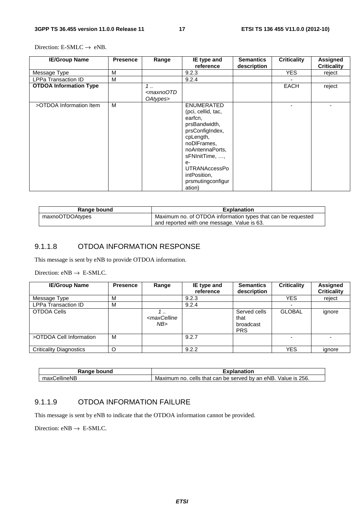Direction: E-SMLC  $\rightarrow$  eNB.

| <b>IE/Group Name</b>          | <b>Presence</b> | Range                                                | IE type and<br>reference                                                                                                                                                                                                               | <b>Semantics</b><br>description | <b>Criticality</b> | <b>Assigned</b><br><b>Criticality</b> |
|-------------------------------|-----------------|------------------------------------------------------|----------------------------------------------------------------------------------------------------------------------------------------------------------------------------------------------------------------------------------------|---------------------------------|--------------------|---------------------------------------|
| Message Type                  | M               |                                                      | 9.2.3                                                                                                                                                                                                                                  |                                 | <b>YES</b>         | reject                                |
| <b>LPPa Transaction ID</b>    | M               |                                                      | 9.2.4                                                                                                                                                                                                                                  |                                 |                    |                                       |
| <b>OTDOA Information Type</b> |                 | $1 \ldots$<br><maxnootd<br>OAtypes&gt;</maxnootd<br> |                                                                                                                                                                                                                                        |                                 | <b>EACH</b>        | reject                                |
| >OTDOA Information Item       | м               |                                                      | <b>ENUMERATED</b><br>(pci, cellid, tac,<br>earfcn,<br>prsBandwidth,<br>prsConfigIndex,<br>cpLength,<br>noDIFrames,<br>noAntennaPorts,<br>sFNInitTime, ,<br>$e-$<br><b>UTRANAccessPo</b><br>intPosition,<br>prsmutingconfigur<br>ation) |                                 |                    |                                       |

| Range bound     | <b>Explanation</b>                                           |
|-----------------|--------------------------------------------------------------|
| maxnoOTDOAtypes | Maximum no. of OTDOA information types that can be requested |
|                 | and reported with one message. Value is 63.                  |

#### 9.1.1.8 OTDOA INFORMATION RESPONSE

This message is sent by eNB to provide OTDOA information.

Direction:  $eNB \rightarrow E-SMLC$ .

| <b>IE/Group Name</b>           | <b>Presence</b> | Range                             | IE type and<br>reference | <b>Semantics</b><br>description                 | <b>Criticality</b> | <b>Assigned</b><br><b>Criticality</b> |
|--------------------------------|-----------------|-----------------------------------|--------------------------|-------------------------------------------------|--------------------|---------------------------------------|
| Message Type                   | M               |                                   | 9.2.3                    |                                                 | <b>YES</b>         | reject                                |
| <b>LPPa Transaction ID</b>     | M               |                                   | 9.2.4                    |                                                 |                    |                                       |
| OTDOA Cells                    |                 | <maxcelline<br>NB</maxcelline<br> |                          | Served cells<br>that<br>broadcast<br><b>PRS</b> | <b>GLOBAL</b>      | ignore                                |
| >OTDOA Cell Information        | M               |                                   | 9.2.7                    |                                                 |                    |                                       |
| <b>Criticality Diagnostics</b> | ∩               |                                   | 9.2.2                    |                                                 | <b>YES</b>         | ignore                                |

| Range bound         | Explanation                                                              |
|---------------------|--------------------------------------------------------------------------|
| . CellineNP<br>max0 | 256.<br>cells that can be served by an eNB.<br>Value is .<br>Maximum no. |

#### 9.1.1.9 OTDOA INFORMATION FAILURE

This message is sent by eNB to indicate that the OTDOA information cannot be provided.

Direction:  $eNB \rightarrow E-SMLC$ .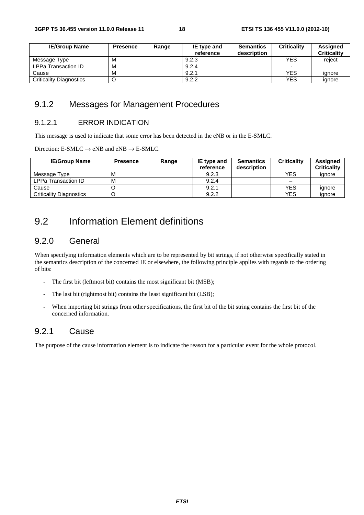| <b>IE/Group Name</b>           | <b>Presence</b> | Range | IE type and | <b>Semantics</b> | <b>Criticality</b> | <b>Assigned</b>    |
|--------------------------------|-----------------|-------|-------------|------------------|--------------------|--------------------|
|                                |                 |       | reference   | description      |                    | <b>Criticality</b> |
| Message Type                   | М               |       | 9.2.3       |                  | <b>YES</b>         | reiect             |
| LPPa Transaction ID            | м               |       | 9.2.4       |                  |                    |                    |
| Cause                          | м               |       | 9.2.1       |                  | <b>YES</b>         | ianore             |
| <b>Criticality Diagnostics</b> |                 |       | 9.2.2       |                  | <b>YES</b>         | ignore             |

### 9.1.2 Messages for Management Procedures

#### 9.1.2.1 ERROR INDICATION

This message is used to indicate that some error has been detected in the eNB or in the E-SMLC.

Direction: E-SMLC  $\rightarrow$  eNB and eNB  $\rightarrow$  E-SMLC.

| <b>IE/Group Name</b>           | <b>Presence</b> | Range | IE type and<br>reference | <b>Semantics</b><br>description | <b>Criticality</b> | <b>Assigned</b><br><b>Criticality</b> |
|--------------------------------|-----------------|-------|--------------------------|---------------------------------|--------------------|---------------------------------------|
| Message Type                   | м               |       | 9.2.3                    |                                 | YES                | ignore                                |
| LPPa Transaction ID            | М               |       | 9.2.4                    |                                 |                    |                                       |
| Cause                          |                 |       | 9.2.1                    |                                 | YES                | ignore                                |
| <b>Criticality Diagnostics</b> |                 |       | 9.2.2                    |                                 | YES                | ignore                                |

### 9.2 Information Element definitions

#### 9.2.0 General

When specifying information elements which are to be represented by bit strings, if not otherwise specifically stated in the semantics description of the concerned IE or elsewhere, the following principle applies with regards to the ordering of bits:

- The first bit (leftmost bit) contains the most significant bit (MSB);
- The last bit (rightmost bit) contains the least significant bit (LSB);
- When importing bit strings from other specifications, the first bit of the bit string contains the first bit of the concerned information.

#### 9.2.1 Cause

The purpose of the cause information element is to indicate the reason for a particular event for the whole protocol.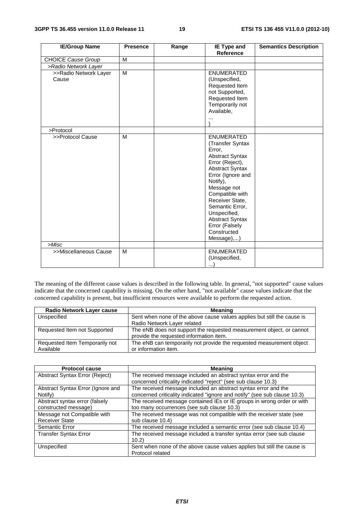| <b>IE/Group Name</b>           | <b>Presence</b> | Range | IE Type and                                                                                                                                                                                                                                                                                                       | <b>Semantics Description</b> |
|--------------------------------|-----------------|-------|-------------------------------------------------------------------------------------------------------------------------------------------------------------------------------------------------------------------------------------------------------------------------------------------------------------------|------------------------------|
|                                |                 |       | Reference                                                                                                                                                                                                                                                                                                         |                              |
| <b>CHOICE Cause Group</b>      | M               |       |                                                                                                                                                                                                                                                                                                                   |                              |
| >Radio Network Layer           |                 |       |                                                                                                                                                                                                                                                                                                                   |                              |
| >>Radio Network Layer<br>Cause | M               |       | <b>ENUMERATED</b><br>(Unspecified,<br>Requested Item<br>not Supported,<br>Requested Item<br>Temporarily not<br>Available,<br>$\cdots$                                                                                                                                                                             |                              |
| >Protocol                      |                 |       |                                                                                                                                                                                                                                                                                                                   |                              |
| >>Protocol Cause               | M               |       | <b>ENUMERATED</b><br>(Transfer Syntax<br>Error,<br><b>Abstract Syntax</b><br>Error (Reject),<br>Abstract Syntax<br>Error (Ignore and<br>Notify),<br>Message not<br>Compatible with<br>Receiver State,<br>Semantic Error,<br>Unspecified,<br><b>Abstract Syntax</b><br>Error (Falsely<br>Constructed<br>Message),) |                              |
| >Misc                          |                 |       |                                                                                                                                                                                                                                                                                                                   |                              |
| >>Miscellaneous Cause          | M               |       | <b>ENUMERATED</b><br>(Unspecified,<br>$\ldots)$                                                                                                                                                                                                                                                                   |                              |

The meaning of the different cause values is described in the following table. In general, "not supported" cause values indicate that the concerned capability is missing. On the other hand, "not available" cause values indicate that the concerned capability is present, but insufficient resources were available to perform the requested action.

| <b>Radio Network Layer cause</b> | Meaning                                                                                                         |
|----------------------------------|-----------------------------------------------------------------------------------------------------------------|
| Unspecified                      | Sent when none of the above cause values applies but still the cause is                                         |
|                                  | Radio Network Layer related                                                                                     |
| Requested Item not Supported     | The eNB does not support the requested measurement object, or cannot<br>provide the requested information item. |
|                                  |                                                                                                                 |
| Requested Item Temporarily not   | The eNB can temporarily not provide the requested measurement object                                            |
| Available                        | or information item.                                                                                            |

| <b>Protocol cause</b>             | <b>Meaning</b>                                                            |
|-----------------------------------|---------------------------------------------------------------------------|
| Abstract Syntax Error (Reject)    | The received message included an abstract syntax error and the            |
|                                   | concerned criticality indicated "reject" (see sub clause 10.3)            |
| Abstract Syntax Error (Ignore and | The received message included an abstract syntax error and the            |
| Notify)                           | concerned criticality indicated "ignore and notify" (see sub clause 10.3) |
| Abstract syntax error (falsely    | The received message contained IEs or IE groups in wrong order or with    |
| constructed message)              | too many occurrences (see sub clause 10.3)                                |
| Message not Compatible with       | The received message was not compatible with the receiver state (see      |
| <b>Receiver State</b>             | sub clause 10.4)                                                          |
| Semantic Error                    | The received message included a semantic error (see sub clause 10.4)      |
| <b>Transfer Syntax Error</b>      | The received message included a transfer syntax error (see sub clause     |
|                                   | 10.2                                                                      |
| Unspecified                       | Sent when none of the above cause values applies but still the cause is   |
|                                   | Protocol related                                                          |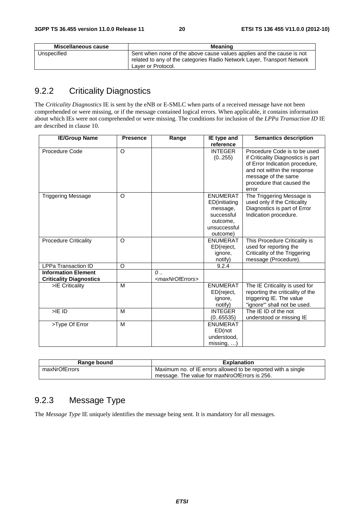| Miscellaneous cause | <b>Meaning</b>                                                                                                                                                         |
|---------------------|------------------------------------------------------------------------------------------------------------------------------------------------------------------------|
| Unspecified         | Sent when none of the above cause values applies and the cause is not<br>related to any of the categories Radio Network Layer, Transport Network<br>Laver or Protocol. |

### 9.2.2 Criticality Diagnostics

The *Criticality Diagnostics* IE is sent by the eNB or E-SMLC when parts of a received message have not been comprehended or were missing, or if the message contained logical errors. When applicable, it contains information about which IEs were not comprehended or were missing. The conditions for inclusion of the *LPPa Transaction ID* IE are described in clause 10.

| <b>IE/Group Name</b>           | <b>Presence</b> | Range                           | IE type and              | <b>Semantics description</b>                                                                         |
|--------------------------------|-----------------|---------------------------------|--------------------------|------------------------------------------------------------------------------------------------------|
|                                |                 |                                 | reference                |                                                                                                      |
| Procedure Code                 | O               |                                 | <b>INTEGER</b><br>(0255) | Procedure Code is to be used<br>if Criticality Diagnostics is part<br>of Error Indication procedure, |
|                                |                 |                                 |                          | and not within the response                                                                          |
|                                |                 |                                 |                          | message of the same                                                                                  |
|                                |                 |                                 |                          | procedure that caused the<br>error                                                                   |
| <b>Triggering Message</b>      | $\Omega$        |                                 | <b>ENUMERAT</b>          | The Triggering Message is                                                                            |
|                                |                 |                                 | ED(initiating            | used only if the Criticality                                                                         |
|                                |                 |                                 | message,                 | Diagnostics is part of Error                                                                         |
|                                |                 |                                 | successful               | Indication procedure.                                                                                |
|                                |                 |                                 | outcome,                 |                                                                                                      |
|                                |                 |                                 | unsuccessful             |                                                                                                      |
|                                |                 |                                 | outcome)                 |                                                                                                      |
| <b>Procedure Criticality</b>   | $\Omega$        |                                 | <b>ENUMERAT</b>          | This Procedure Criticality is                                                                        |
|                                |                 |                                 | ED(reject,               | used for reporting the                                                                               |
|                                |                 |                                 | ignore,                  | Criticality of the Triggering                                                                        |
|                                |                 |                                 | notify)                  | message (Procedure).                                                                                 |
| <b>LPPa Transaction ID</b>     | O               |                                 | 9.2.4                    |                                                                                                      |
| <b>Information Element</b>     |                 | $\overline{0}$                  |                          |                                                                                                      |
| <b>Criticality Diagnostics</b> |                 | <maxnroferrors></maxnroferrors> |                          |                                                                                                      |
| >IE Criticality                | M               |                                 | <b>ENUMERAT</b>          | The IE Criticality is used for                                                                       |
|                                |                 |                                 | ED(reject,               | reporting the criticality of the                                                                     |
|                                |                 |                                 | ignore,                  | triggering IE. The value                                                                             |
|                                |                 |                                 | notify)                  | "ignore" shall not be used.                                                                          |
| $>$ IE ID                      | M               |                                 | <b>INTEGER</b>           | The IE ID of the not                                                                                 |
|                                |                 |                                 | (0.65535)                | understood or missing IE                                                                             |
| >Type Of Error                 | M               |                                 | <b>ENUMERAT</b>          |                                                                                                      |
|                                |                 |                                 | ED(not                   |                                                                                                      |
|                                |                 |                                 | understood.              |                                                                                                      |
|                                |                 |                                 | missing,                 |                                                                                                      |

| Range bound   | <b>Explanation</b>                                            |
|---------------|---------------------------------------------------------------|
| maxNrOfErrors | Maximum no. of IE errors allowed to be reported with a single |
|               | message. The value for maxNroOfErrors is 256.                 |

### 9.2.3 Message Type

The *Message Type* IE uniquely identifies the message being sent. It is mandatory for all messages.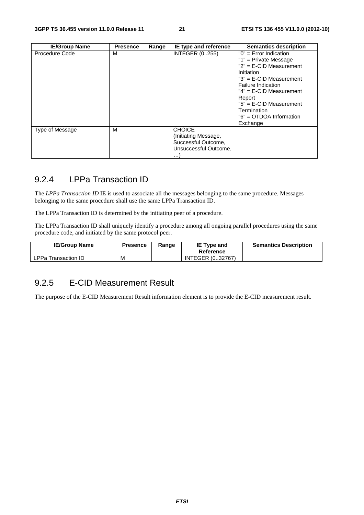| <b>IE/Group Name</b> | <b>Presence</b> | Range | IE type and reference                                                                             | <b>Semantics description</b>                                                                                                                                                                                                                                                     |
|----------------------|-----------------|-------|---------------------------------------------------------------------------------------------------|----------------------------------------------------------------------------------------------------------------------------------------------------------------------------------------------------------------------------------------------------------------------------------|
| Procedure Code       | м               |       | <b>INTEGER (0255)</b>                                                                             | $"0"$ = Error Indication<br>"1" = Private Message<br>$"2" = E-CID Measurement$<br>Initiation<br>$"3" = E-CID Measurement$<br><b>Failure Indication</b><br>$"4" = E-CID Measurement$<br>Report<br>$"5" = E-CID Measurement$<br>Termination<br>"6" = OTDOA Information<br>Exchange |
| Type of Message      | м               |       | <b>CHOICE</b><br>(Initiating Message,<br>Successful Outcome,<br>Unsuccessful Outcome,<br>$\cdots$ |                                                                                                                                                                                                                                                                                  |

### 9.2.4 LPPa Transaction ID

The *LPPa Transaction ID* IE is used to associate all the messages belonging to the same procedure. Messages belonging to the same procedure shall use the same LPPa Transaction ID.

The LPPa Transaction ID is determined by the initiating peer of a procedure.

The LPPa Transaction ID shall uniquely identify a procedure among all ongoing parallel procedures using the same procedure code, and initiated by the same protocol peer.

| <b>IE/Group Name</b>       | <b>Presence</b> | Range | IE Type and<br>Reference | <b>Semantics Description</b> |
|----------------------------|-----------------|-------|--------------------------|------------------------------|
| <b>LPPa Transaction ID</b> | М               |       | INTEGER (032767)         |                              |

#### 9.2.5 E-CID Measurement Result

The purpose of the E-CID Measurement Result information element is to provide the E-CID measurement result.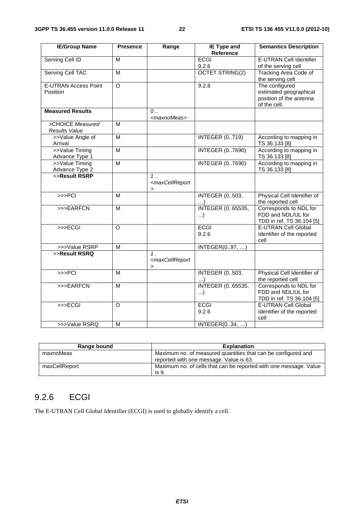| <b>IE/Group Name</b>                              | <b>Presence</b>         | Range                                                              | <b>IE Type and</b><br>Reference     | <b>Semantics Description</b>                                                        |
|---------------------------------------------------|-------------------------|--------------------------------------------------------------------|-------------------------------------|-------------------------------------------------------------------------------------|
| <b>Serving Cell ID</b>                            | М                       |                                                                    | <b>ECGI</b>                         | <b>E-UTRAN Cell Identifier</b>                                                      |
|                                                   |                         |                                                                    | 9.2.6                               | of the serving cell                                                                 |
| <b>Serving Cell TAC</b>                           | $\overline{\mathsf{M}}$ |                                                                    | <b>OCTET STRING(2)</b>              | <b>Tracking Area Code of</b><br>the serving cell                                    |
| E-UTRAN Access Point<br>Position                  | $\circ$                 |                                                                    | 9.2.8                               | The configured<br>estimated geographical<br>position of the antenna<br>of the cell. |
| <b>Measured Results</b>                           |                         | $\mathcal{O}$<br><maxnomeas></maxnomeas>                           |                                     |                                                                                     |
| >CHOICE Measured<br>Results Value                 | M                       |                                                                    |                                     |                                                                                     |
| >>Value Angle of<br>Arrival                       | $\overline{M}$          |                                                                    | <b>INTEGER (0719)</b>               | According to mapping in<br>TS 36.133 [8]                                            |
| >>Value Timing<br>Advance Type 1                  | M                       |                                                                    | <b>INTEGER (07690)</b>              | According to mapping in<br>TS 36.133 [8]                                            |
| >>Value Timing<br>Advance Type 2<br>>>Result RSRP | $\overline{M}$          |                                                                    | <b>INTEGER (07690)</b>              | According to mapping in<br>TS 36.133 [8]                                            |
|                                                   |                         | 1.<br><maxcellreport<br><math>\geq</math></maxcellreport<br>       |                                     |                                                                                     |
| >> <sup>PC</sup>                                  | M                       |                                                                    | <b>INTEGER (0503,</b>               | Physical Cell Identifier of<br>the reported cell                                    |
| >>>EARFCN                                         | M                       |                                                                    | <b>INTEGER (065535,</b><br>$\ldots$ | Corresponds to NDL for<br>FDD and NDL/UL for<br>TDD in ref. TS 36.104 [5]           |
| $\rightarrow$ $\rightarrow$ $\equiv$ CGI          | $\circ$                 |                                                                    | <b>ECGI</b><br>9.2.6                | E-UTRAN Cell Global<br>Identifier of the reported<br>cell                           |
| >>>Value RSRP                                     | $\overline{\mathsf{M}}$ |                                                                    | INTEGER(097,                        |                                                                                     |
| >>Result RSRQ                                     |                         | 1.<br><maxcellreport<br><math>\, &gt; \,</math></maxcellreport<br> |                                     |                                                                                     |
| >> <b>PCI</b>                                     | M                       |                                                                    | <b>INTEGER (0503,</b><br>)          | Physical Cell Identifier of<br>the reported cell                                    |
| >>>EARFCN                                         | M                       |                                                                    | <b>INTEGER (065535,</b><br>$\ldots$ | Corresponds to NDL for<br>FDD and NDL/UL for<br>TDD in ref. TS 36.104 [5]           |
| >>ECGI                                            | $\circ$                 |                                                                    | <b>ECGI</b><br>9.2.6                | <b>E-UTRAN Cell Global</b><br>Identifier of the reported<br>cell                    |
| >>>Value RSRQ                                     | M                       |                                                                    | INTEGER(034, )                      |                                                                                     |

| Range bound   | <b>Explanation</b>                                                |
|---------------|-------------------------------------------------------------------|
| maxnoMeas     | Maximum no. of measured quantities that can be configured and     |
|               | reported with one message. Value is 63.                           |
| maxCellReport | Maximum no. of cells that can be reported with one message. Value |
|               | is 9.                                                             |

### 9.2.6 ECGI

The E-UTRAN Cell Global Identifier (ECGI) is used to globally identify a cell.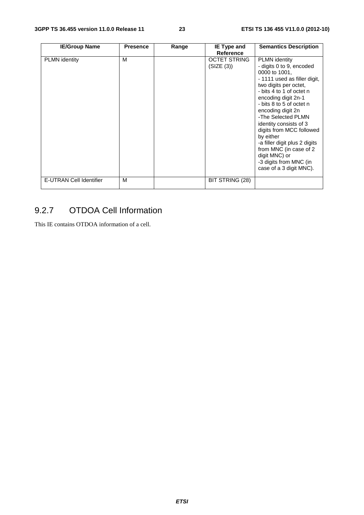| <b>IE/Group Name</b>    | <b>Presence</b> | Range | IE Type and                       | <b>Semantics Description</b>                                                                                                                                                                                                                                                                                                                                                                                                                             |
|-------------------------|-----------------|-------|-----------------------------------|----------------------------------------------------------------------------------------------------------------------------------------------------------------------------------------------------------------------------------------------------------------------------------------------------------------------------------------------------------------------------------------------------------------------------------------------------------|
|                         |                 |       | <b>Reference</b>                  |                                                                                                                                                                                                                                                                                                                                                                                                                                                          |
| <b>PLMN</b> identity    | M               |       | <b>OCTET STRING</b><br>(SIZE (3)) | <b>PLMN</b> identity<br>- digits 0 to 9, encoded<br>0000 to 1001,<br>- 1111 used as filler digit,<br>two digits per octet,<br>- bits 4 to 1 of octet n<br>encoding digit 2n-1<br>- bits 8 to 5 of octet n<br>encoding digit 2n<br>-The Selected PLMN<br>identity consists of 3<br>digits from MCC followed<br>by either<br>-a filler digit plus 2 digits<br>from MNC (in case of 2<br>digit MNC) or<br>-3 digits from MNC (in<br>case of a 3 digit MNC). |
| E-UTRAN Cell Identifier | м               |       | BIT STRING (28)                   |                                                                                                                                                                                                                                                                                                                                                                                                                                                          |

### 9.2.7 OTDOA Cell Information

This IE contains OTDOA information of a cell.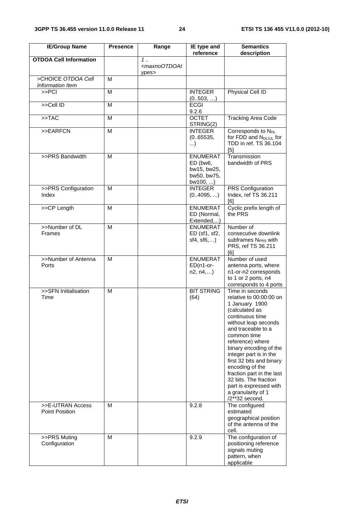| <b>IE/Group Name</b>                   | <b>Presence</b> | Range                                                               | IE type and<br>reference                                              | <b>Semantics</b><br>description                                                                                                                                                                                                                                                                                                                                                                               |
|----------------------------------------|-----------------|---------------------------------------------------------------------|-----------------------------------------------------------------------|---------------------------------------------------------------------------------------------------------------------------------------------------------------------------------------------------------------------------------------------------------------------------------------------------------------------------------------------------------------------------------------------------------------|
| <b>OTDOA Cell Information</b>          |                 | $1 \ldots$                                                          |                                                                       |                                                                                                                                                                                                                                                                                                                                                                                                               |
|                                        |                 | <maxnootdoat<br><math>v</math>pes<math>&gt;</math></maxnootdoat<br> |                                                                       |                                                                                                                                                                                                                                                                                                                                                                                                               |
| >CHOICE OTDOA Cell<br>Information Item | м               |                                                                     |                                                                       |                                                                                                                                                                                                                                                                                                                                                                                                               |
| >> <sup>PC</sup> l                     | M               |                                                                     | <b>INTEGER</b><br>(0.503, )                                           | Physical Cell ID                                                                                                                                                                                                                                                                                                                                                                                              |
| >>Cell ID                              | M               |                                                                     | <b>ECGI</b><br>9.2.6                                                  |                                                                                                                                                                                                                                                                                                                                                                                                               |
| >> <b>TAC</b>                          | M               |                                                                     | <b>OCTET</b><br>STRING(2)                                             | <b>Tracking Area Code</b>                                                                                                                                                                                                                                                                                                                                                                                     |
| >>EARFCN                               | M               |                                                                     | <b>INTEGER</b><br>(0.65535,<br>)                                      | Corresponds to N <sub>DL</sub><br>for FDD and N <sub>DL/UL</sub> for<br>TDD in ref. TS 36.104<br>[5]                                                                                                                                                                                                                                                                                                          |
| >>PRS Bandwidth                        | M               |                                                                     | <b>ENUMERAT</b><br>ED (bw6,<br>bw15, bw25,<br>bw50, bw75,<br>bw100, ) | Transmission<br>bandwidth of PRS                                                                                                                                                                                                                                                                                                                                                                              |
| >>PRS Configuration<br>Index           | M               |                                                                     | <b>INTEGER</b><br>(04095, )                                           | PRS Configuration<br>Index, ref TS 36.211<br>[6]                                                                                                                                                                                                                                                                                                                                                              |
| >>CP Length                            | M               |                                                                     | <b>ENUMERAT</b><br>ED (Normal,<br>Extended,)                          | Cyclic prefix length of<br>the PRS                                                                                                                                                                                                                                                                                                                                                                            |
| >>Number of DL<br><b>Frames</b>        | м               |                                                                     | <b>ENUMERAT</b><br>ED (sf1, sf2,<br>sf4, sf6,)                        | Number of<br>consecutive downlink<br>subframes N <sub>PRS</sub> with<br>PRS, ref TS 36.211<br>F <sub>61</sub>                                                                                                                                                                                                                                                                                                 |
| >>Number of Antenna<br>Ports           | M               |                                                                     | <b>ENUMERAT</b><br>ED(n1-or-<br>n2, n4,)                              | Number of used<br>antenna ports, where<br>n1-or-n2 corresponds<br>to 1 or 2 ports, n4<br>corresponds to 4 ports                                                                                                                                                                                                                                                                                               |
| >>SFN Initialisation<br>Time           | M               |                                                                     | <b>BIT STRING</b><br>(64)                                             | Time in seconds<br>relative to 00:00:00 on<br>1 January 1900<br>(calculated as<br>continuous time<br>without leap seconds<br>and traceable to a<br>common time<br>reference) where<br>binary encoding of the<br>integer part is in the<br>first 32 bits and binary<br>encoding of the<br>fraction part in the last<br>32 bits. The fraction<br>part is expressed with<br>a granularity of 1<br>/2**32 second. |
| >>E-UTRAN Access<br>Point Position     | м               |                                                                     | 9.2.8                                                                 | The configured<br>estimated<br>geographical position<br>of the antenna of the<br>cell.                                                                                                                                                                                                                                                                                                                        |
| >>PRS Muting<br>Configuration          | м               |                                                                     | 9.2.9                                                                 | The configuration of<br>positioning reference<br>signals muting<br>pattern, when<br>applicable                                                                                                                                                                                                                                                                                                                |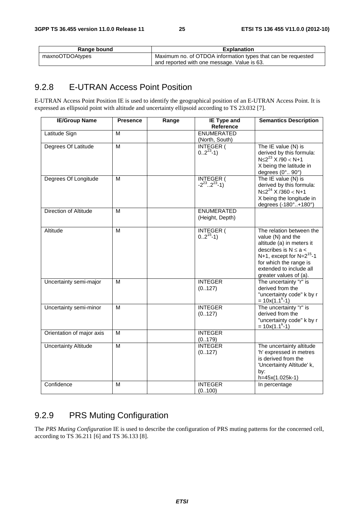| Range bound     | <b>Explanation</b>                                           |
|-----------------|--------------------------------------------------------------|
| maxnoOTDOAtypes | Maximum no. of OTDOA information types that can be requested |
|                 | and reported with one message. Value is 63.                  |

### 9.2.8 E-UTRAN Access Point Position

E-UTRAN Access Point Position IE is used to identify the geographical position of an E-UTRAN Access Point. It is expressed as ellipsoid point with altitude and uncertainty ellipsoid according to TS 23.032 [7].

| <b>IE/Group Name</b>         | <b>Presence</b>         | Range | <b>IE Type and</b><br>Reference                   | <b>Semantics Description</b>                                                                                                                                                                                           |
|------------------------------|-------------------------|-------|---------------------------------------------------|------------------------------------------------------------------------------------------------------------------------------------------------------------------------------------------------------------------------|
| Latitude Sign                | M                       |       | <b>ENUMERATED</b><br>(North, South)               |                                                                                                                                                                                                                        |
| Degrees Of Latitude          | M                       |       | $NTEGER ($<br>02 <sup>23</sup> -1)                | The IE value (N) is<br>derived by this formula:<br>$N \leq 2^{23}$ X /90 < N+1<br>X being the latitude in<br>degrees (0° 90°)                                                                                          |
| Degrees Of Longitude         | M                       |       | <b>INTEGER (</b><br>$-2^{23}$ 2 <sup>23</sup> -1) | The IE value (N) is<br>derived by this formula:<br>$N \leq 2^{24}$ X /360 < N+1<br>X being the longitude in<br>degrees (-180°+180°)                                                                                    |
| <b>Direction of Altitude</b> | M                       |       | <b>ENUMERATED</b><br>(Height, Depth)              |                                                                                                                                                                                                                        |
| Altitude                     | M                       |       | INTEGER ( $0.2^{15}$ -1)                          | The relation between the<br>value (N) and the<br>altitude (a) in meters it<br>describes is $N \le a <$<br>N+1, except for $N=2^{15}$ -1<br>for which the range is<br>extended to include all<br>greater values of (a). |
| Uncertainty semi-major       | M                       |       | <b>INTEGER</b><br>(0127)                          | The uncertainty "r" is<br>derived from the<br>"uncertainty code" k by r<br>$= 10x(1.1k-1)$                                                                                                                             |
| Uncertainty semi-minor       | M                       |       | <b>INTEGER</b><br>(0.127)                         | The uncertainty "r" is<br>derived from the<br>"uncertainty code" k by r<br>$= 10x(1.1k-1)$                                                                                                                             |
| Orientation of major axis    | M                       |       | <b>INTEGER</b><br>(0179)                          |                                                                                                                                                                                                                        |
| <b>Uncertainty Altitude</b>  | $\overline{\mathsf{M}}$ |       | <b>INTEGER</b><br>(0127)                          | The uncertainty altitude<br>'h' expressed in metres<br>is derived from the<br>'Uncertainty Altitude' k,<br>by:<br>h=45x(1.025k-1)                                                                                      |
| Confidence                   | м                       |       | <b>INTEGER</b><br>(0100)                          | In percentage                                                                                                                                                                                                          |

### 9.2.9 PRS Muting Configuration

The *PRS Muting Configuration* IE is used to describe the configuration of PRS muting patterns for the concerned cell, according to TS 36.211 [6] and TS 36.133 [8].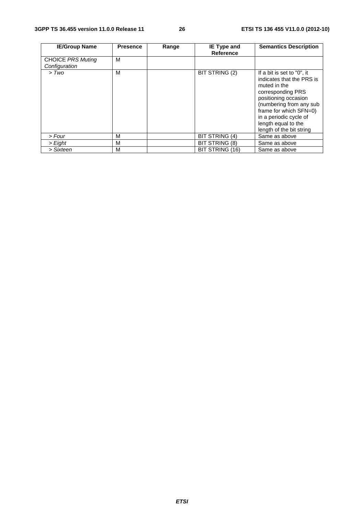| <b>IE/Group Name</b>                      | <b>Presence</b> | Range | IE Type and<br><b>Reference</b> | <b>Semantics Description</b>                                                                                                                                                                                                                           |
|-------------------------------------------|-----------------|-------|---------------------------------|--------------------------------------------------------------------------------------------------------------------------------------------------------------------------------------------------------------------------------------------------------|
| <b>CHOICE PRS Muting</b><br>Configuration | м               |       |                                 |                                                                                                                                                                                                                                                        |
| > Two                                     | M               |       | BIT STRING (2)                  | If a bit is set to "0", it<br>indicates that the PRS is<br>muted in the<br>corresponding PRS<br>positioning occasion<br>(numbering from any sub<br>frame for which SFN=0)<br>in a periodic cycle of<br>length equal to the<br>length of the bit string |
| > Four                                    | М               |       | <b>BIT STRING (4)</b>           | Same as above                                                                                                                                                                                                                                          |
| > Eight                                   | м               |       | BIT STRING (8)                  | Same as above                                                                                                                                                                                                                                          |
| > Sixteen                                 | M               |       | BIT STRING (16)                 | Same as above                                                                                                                                                                                                                                          |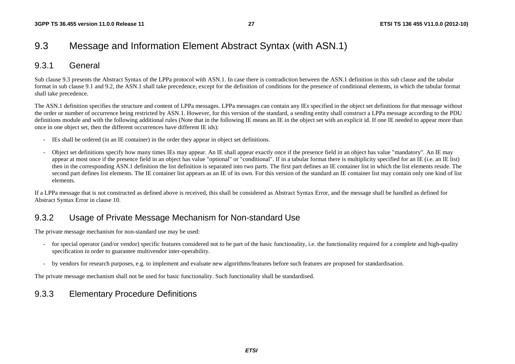### 9.3 Message and Information Element Abstract Syntax (with ASN.1)

### 9.3.1 General

Sub clause 9.3 presents the Abstract Syntax of the LPPa protocol with ASN.1. In case there is contradiction between the ASN.1 definition in this sub clause and the tabular format in sub clause 9.1 and 9.2, the ASN.1 shall take precedence, except for the definition of conditions for the presence of conditional elements, in which the tabular format shall take precedence.

The ASN.1 definition specifies the structure and content of LPPa messages. LPPa messages can contain any IEs specified in the object set definitions for that message without the order or number of occurrence being restricted by ASN.1. However, for this version of the standard, a sending entity shall construct a LPPa message according to the PDU definitions module and with the following additional rules (Note that in the following IE means an IE in the object set with an explicit id. If one IE needed to appear more than once in one object set, then the different occurrences have different IE ids):

- IEs shall be ordered (in an IE container) in the order they appear in object set definitions.
- Object set definitions specify how many times IEs may appear. An IE shall appear exactly once if the presence field in an object has value "mandatory". An IE may appear at most once if the presence field in an object has value "optional" or "conditional". If in a tabular format there is multiplicity specified for an IE (i.e. an IE list) then in the corresponding ASN.1 definition the list definition is separated into two parts. The first part defines an IE container list in which the list elements reside. The second part defines list elements. The IE container list appears as an IE of its own. For this version of the standard an IE container list may contain only one kind of list elements.

If a LPPa message that is not constructed as defined above is received, this shall be considered as Abstract Syntax Error, and the message shall be handled as defined for Abstract Syntax Error in clause 10.

### 9.3.2 Usage of Private Message Mechanism for Non-standard Use

The private message mechanism for non-standard use may be used:

- for special operator (and/or vendor) specific features considered not to be part of the basic functionality, i.e. the functionality required for a complete and high-quality specification in order to guarantee multivendor inter-operability.
- by vendors for research purposes, e.g. to implement and evaluate new algorithms/features before such features are proposed for standardisation.

The private message mechanism shall not be used for basic functionality. Such functionality shall be standardised.

### 9.3.3 Elementary Procedure Definitions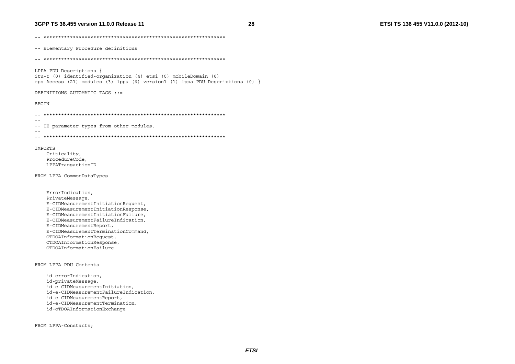#### 3GPP TS 36.455 version 11.0.0 Release 11

28

 $\sim$   $-$ -- Elementary Procedure definitions  $\sim$   $\sim$ LPPA-PDU-Descriptions { itu-t (0) identified-organization (4) etsi (0) mobileDomain (0) eps-Access (21) modules (3) lppa (6) version1 (1) lppa-PDU-Descriptions (0)  $\}$ DEFINITIONS AUTOMATIC TAGS ::= **BEGIN**  $\sim$   $-$ -- IE parameter types from other modules.  $\sim$   $\sim$ **TMPORTS** Criticality, ProcedureCode, LPPATransactionID

FROM LPPA-CommonDataTypes

ErrorIndication, PrivateMessage, E-CIDMeasurementInitiationRequest, E-CIDMeasurementInitiationResponse, E-CIDMeasurementInitiationFailure, E-CIDMeasurementFailureIndication, E-CIDMeasurementReport, E-CIDMeasurementTerminationCommand, OTDOAInformationRequest, OTDOAInformationResponse, OTDOAInformationFailure

FROM LPPA-PDU-Contents

id-errorIndication, id-privateMessage, id-e-CIDMeasurementInitiation, id-e-CIDMeasurementFailureIndication, id-e-CIDMeasurementReport, id-e-CIDMeasurementTermination, id-oTDOAInformationExchange

FROM LPPA-Constants;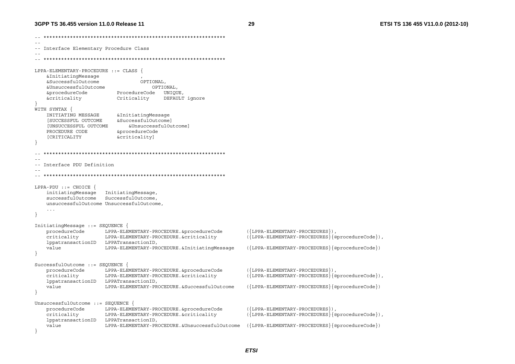29

Interface Elementary Procedure Class  $\sim$   $\sim$   $\sim$ LPPA-ELEMENTARY-PROCEDURE ::= CLASS { &InitiatingMessage &SuccessfulOutcome OPTIONAL, &UnsuccessfulOutcome OPTIONAL, &procedureCode ProcedureCode UNIQUE &criticality DEFAULT ignore Criticality WITH SYNTAX { INITIATING MESSAGE &InitiatingMessage ISUCCESSFUL OUTCOME &SuccessfulOutcomel [UNSUCCESSFUL OUTCOME &UnsuccessfulOutcomel PROCEDURE CODE &procedureCode [CRITICALITY &criticality] -- Interface PDU Definition  $LPPA-PDU :: = CHOICE$ initiatingMessage InitiatingMessage, successfulOutcome SuccessfulOutcome, unsuccessfulOutcome UnsuccessfulOutcome  $\ldots$ InitiatingMessage ::= SEQUENCE  $({LPPA-ELEMENTARY-PROCEDURES})$ , procedureCode LPPA-ELEMENTARY-PROCEDURE.&procedureCode criticality LPPA-ELEMENTARY-PROCEDURE.&criticality  $({LPPA-ELEMENTARY-PROCEDURES}$  {@procedureCode}), lppatransactionID LPPATransactionID,  $({LPPA-ELEMENTARY-PROCEDURES} \{ @procedureCode\})$ value LPPA-ELEMENTARY-PROCEDURE. & Initiating Message SuccessfulOutcome ::= SEQUENCE procedureCode LPPA-ELEMENTARY-PROCEDURE.&procedureCode  $({LPPA - ELEMENTARY - PROCEDURES})$ , ({LPPA-ELEMENTARY-PROCEDURES}{@procedureCode}), criticality LPPA-ELEMENTARY-PROCEDURE. & criticality lppatransactionID LPPATransactionID value LPPA-ELEMENTARY-PROCEDURE. & SuccessfulOutcome  $({LPPA-ELEMENTARY-PROCEDURES}$  $\{@procedureCode\})$ UnsuccessfulOutcome ::= SEOUENCE { procedureCode LPPA-ELEMENTARY-PROCEDURE. &procedureCode ({LPPA-ELEMENTARY-PROCEDURES}), criticality LPPA-ELEMENTARY-PROCEDURE. & criticality  $({LPPA-ELEMENTARY-PROCEDURES} \{@procedureCode\})$ , lppatransactionID LPPATransactionID, value  $({LPPA - ELEMENTARY - PROCEDURES} \{ @procedureCode} )$ LPPA-ELEMENTARY-PROCEDURE. &UnsuccessfulOutcome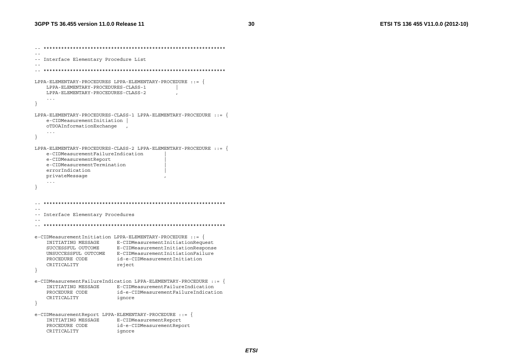```
\sim --- Interface Elementary Procedure List
\sim \simLPPA-ELEMENTARY-PROCEDURES LPPA-ELEMENTARY-PROCEDURE ::LPPA-ELEMENTARY-PROCEDURES-CLASS-1
   LPPA-ELEMENTARY-PROCEDURES-CLASS-2
   \sim \sim \sim\lambdaLPPA-ELEMENTARY-PROCEDURES-CLASS-1 LPPA-ELEMENTARY-PROCEDURE ::= {
   e-CIDMeasurementInitiation
   oTDOAInformationExchange,
   \sim .
\rightarrowLPPA-ELEMENTARY-PROCEDURES-CLASS-2 LPPA-ELEMENTARY-PROCEDURE : := \{e-CIDMeasurementFailureIndication
   e-CIDMeasurementReport
   e-CIDMeasurementTermination
   errorIndication
   privateMessage
   \sim .
  \sim --- Interface Elementary Procedures
\sim \sime-CIDMeasurementInitiation LPPA-ELEMENTARY-PROCEDURE ::=INITIATING MESSAGE E-CIDMeasurementInitiationRequest
   SUCCESSFUL OUTCOME
                     E-CIDMeasurementInitiationResponse
   UNSUCCESSFUL OUTCOME E-CIDMeasurementInitiationFailure
   PROCEDURE CODE
                      id-e-CIDMeasurementInitiation
   CRITICALITY
                      reject
- }
e-CIDMeasurementFailureIndication LPPA-ELEMENTARY-PROCEDURE : = \{INITIATING MESSAGE F-CIDMeasurementFailureIndication
   PROCEDURE CODE
                     id-e-CIDMeasurementFailureIndication
   CRITICALITY
                       ignore
\rightarrowe-CIDMeasurementReport LPPA-ELEMENTARY-PROCEDURE ::= {
   INITIATING MESSAGE E-CIDMeasurementReport
                       id-e-CIDMeasurementReport
   PROCEDURE CODE
   CRITICALITY
                       ignore
```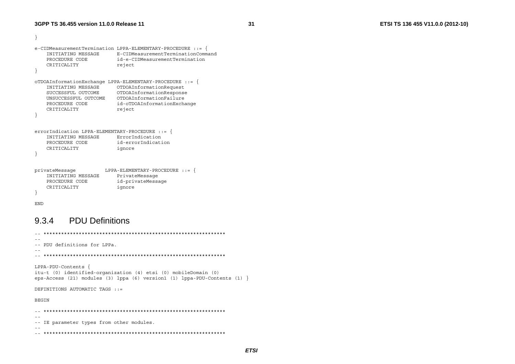```
\rightarrowe-CIDMeasurementTermination LPPA-ELEMENTARY-PROCEDURE ::= {
    INITIATING MESSAGE E-CIDMeasurementTerminationCommand
    PROCEDURE CODE
                        id-e-CIDMeasurementTermination
    CRITICALITY
                        reject
\mathcal{L}OTDOAInformationExchange LPPA-ELEMENTARY-PROCEDURE : :=INITIATING MESSAGE OTDOAInformationRequest
   SUCCESSFUL OUTCOME OTDOAInformationResponse
   PROCEDURE CODE
                        id-oTDOAInformationExchange
    CRITICALITY
                        reject
\rightarrowerrorIndication LPPA-ELEMENTARY-PROCEDURE ::= {
    INITIATING MESSAGE ErrorIndication
                        id-errorIndication
   PROCEDURE CODE
    CRITICALITY
                        ignore
\rightarrowprivateMessage
               LPPA - ELEMENTARY - PROCEDURE :: =INITIATING MESSAGE PrivateMessage
    PROCEDURE CODE
                        id-privateMessage
    CRITICALITY
                          ignore
\overline{\phantom{a}}
```

```
END
```
#### **PDU Definitions** 9.3.4

 $\sim$   $\sim$ -- PDU definitions for LPPa.  $\sim$   $-$ LPPA-PDU-Contents { itu-t (0) identified-organization (4) etsi (0) mobileDomain (0) eps-Access (21) modules (3) lppa (6) version1 (1) lppa-PDU-Contents (1) DEFINITIONS AUTOMATIC TAGS  $\cdot$  = **BEGIN**  $\sim$   $-$ -- IE parameter types from other modules.  $\sim$   $-$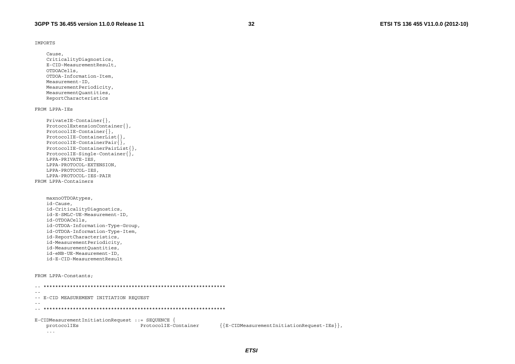```
IMPORTS
```
Cause. CriticalityDiagnostics, E-CID-MeasurementResult, OTDOACells. OTDOA-Information-Item, Measurement-ID, MeasurementPeriodicity, MeasurementQuantities, ReportCharacteristics

#### FROM LPPA-IES

```
PrivateIE-Container{},
    ProtocolExtensionContainer{},
    ProtocolIE-Container{},
    ProtocolIE-ContainerList\},ProtocolIE-ContainerPair\{,
    ProtocolIE-ContainerPairList{},
    ProtocolIE-Single-Container{}LPPA-PRIVATE-IES,
    LPPA-PROTOCOL-EXTENSION,
    LPPA-PROTOCOL-IES,
    LPPA-PROTOCOL-IES-PAIR
FROM LPPA-Containers
```

```
maxnoOTDOAtypes,
id-Cause,
id-CriticalityDiagnostics,
id-E-SMLC-UE-Measurement-ID,
id-OTDOACells,
id-OTDOA-Information-Type-Group,
id-OTDOA-Information-Type-Item,
id-ReportCharacteristics,
id-MeasurementPeriodicity,
id-MeasurementOuantities,
id-eNB-UE-Measurement-ID,
id-E-CID-MeasurementResult
```

```
FROM LPPA-Constants;
```

```
\sim \sim-- E-CID MEASUREMENT INITIATION REQUEST
\sim -E-CIDMeasurementInitiationRequest ::= SEQUENCE {
                       ProtocolIE-Container
                                        {E-CIDMeasurementInitiationRequest-IES},
  protocolIEs
  \sim 100 km ^{-1}
```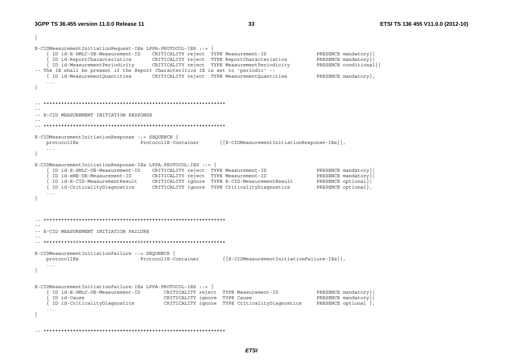E-CIDMeasurementInitiationRequest-IEs LPPA-PROTOCOL-IES ::= { ID id-E-SMLC-UE-Measurement-ID CRITICALITY reject TYPE Measurement-ID PRESENCE mandatory ID id-ReportCharacteristics CRITICALITY reject TYPE ReportCharacteristics PRESENCE mandatory ID id-MeasurementPeriodicity CRITICALITY reject TYPE MeasurementPeriodicity PRESENCE conditional} -- The IE shall be present if the Report Characteritics IE is set to 'periodic' --{ ID id-MeasurementOuantities CRITICALITY reject TYPE MeasurementOuantities PRESENCE mandatory}  $\ldots$  $\sim$   $-$ -- E-CID MEASUREMENT INITIATION RESPONSE  $E$ -CIDMeasurementInitiationResponse ::= SEOUENCE {  ${E-CIDMeasurementInitializer In the space-IEs}$ , protocolIEs ProtocolIE-Container  $\sim$   $\sim$   $\sim$ E-CIDMeasurementInitiationResponse-IEs LPPA-PROTOCOL-IES ::= { ID id-E-SMLC-UE-Measurement-ID CRITICALITY reject TYPE Measurement-ID PRESENCE mandatory ID id-eNB-UE-Measurement-ID CRITICALITY reject TYPE Measurement-ID PRESENCE mandatory ID id-E-CID-MeasurementResult CRITICALITY ignore TYPE E-CID-MeasurementResult PRESENCE optional} ID id-CriticalityDiagnostics CRITICALITY ignore TYPE CriticalityDiagnostics PRESENCE optional}  $\overline{\phantom{a}1}$  $\sim$   $-$ -- E-CID MEASUREMENT INITIATION FAILURE E-CIDMeasurementInitiationFailure ::= SEQUENCE { ProtocolIE-Container  ${E-CIDMeasurementInitializer ion Failure-IES}.$ protocolIEs  $\ddots$  . E-CIDMeasurementInitiationFailure-IEs LPPA-PROTOCOL-IES ::= { ID id-E-SMLC-UE-Measurement-ID CRITICALITY reject TYPE Measurement-ID PRESENCE mandatory} ID id-Cause CRITICALITY ignore TYPE Cause PRESENCE mandatory } | ID id-CriticalityDiagnostics CRITICALITY ignore TYPE CriticalityDiagnostics PRESENCE optional },  $\sim$   $\sim$   $\sim$  $\overline{\phantom{a}}$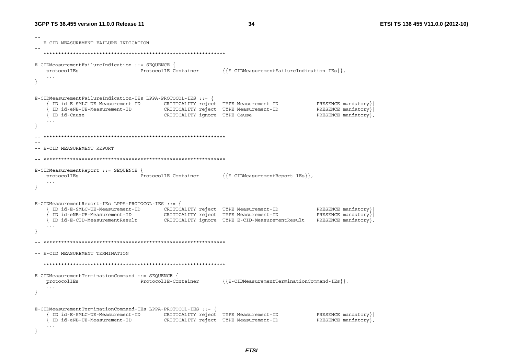```
\sim --- E-CID MEASUREMENT FAILURE INDICATION
E-CIDMeasurementFailureIndication ::= SEQUENCE {
                                ProtocolTE-Container
                                                          {{E-CIDMeasurementFailureIndication-IEs}}
   protocolIEs
   \sim .
\rightarrowE-CIDMeasurementFailureIndication-IEs LPPA-PROTOCOL-IES ::= {
     ID id-E-SMLC-UE-Measurement-ID
                                       CRITICALITY reject TYPE Measurement-ID
                                                                                       PRESENCE mandatory}
     ID id-eNB-UE-Measurement-ID
                                       CRITICALITY reject TYPE Measurement-ID
                                                                                       PRESENCE mandatory}
   { ID id-Cause
                                        CRITICALITY ignore TYPE Cause
                                                                                       PRESENCE mandatory },
   \sim \sim \sim\lambda\sim \sim-- E-CID MEASUREMENT REPORT
\sim -E-CIDMeasurementReport ::= SEQUENCE {
   protocolIEs
                                ProtocolIE-Container
                                                          \{E-CIDMeasurementReport-IES\},
   \ldots\mathfrak{r}E-CIDMeasurementReport-IEs LPPA-PROTOCOL-IES ::= \{ID id-E-SMLC-UE-Measurement-ID CRITICALITY reject TYPE Measurement-ID
                                                                                       PRESENCE mandatory}
     ID 10-E-STIE VI NOTE:<br>ID id-eNB-UE-Measurement-ID CRITICALITY reject TIFE FOUND INTERNATIONAL CRITICALITY<br>Th id F-CID-MeasurementResult CRITICALITY ignore TYPE E-CID-MeasurementResult
                                                                                       PRESENCE mandatory }
    { ID id-E-CID-MeasurementResult
                                                                                       PRESENCE mandatory },
  \sim --- E-CID MEASUREMENT TERMINATION
\sim -E-CIDMeasurementTerminationCommand ::= SEQUENCE {
                                                          \{E-CIDMeasurement TerminationCommand-IES\},
   protocolIEs
                            ProtocolIE-Container
   \ldots\rightarrowE-CIDMeasurementTerminationCommand-IEs LPPA-PROTOCOL-IES ::= {
     ID id-E-SMLC-UE-Measurement-ID CRITICALITY reject TYPE Measurement-ID
                                                                                       PRESENCE mandatory }
    { ID id-eNB-UE-Measurement-ID
                                     CRITICALITY reject TYPE Measurement-ID
                                                                                       PRESENCE mandatory },
   \sim \sim \sim- }
```
**ETSI**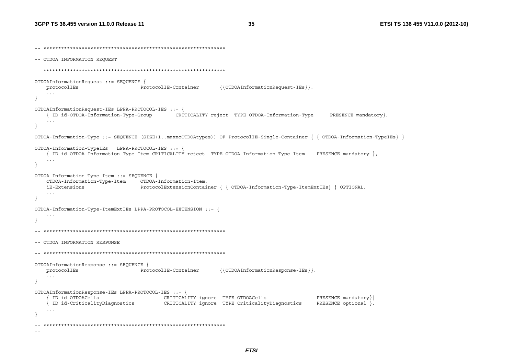ETSI TS 136 455 V11.0.0 (2012-10)

```
\sim --- OTDOA INFORMATION REQUEST
  OTDOAInformationRequest ::= SEQUENCE {
   protocolIEs
                              ProtocolIE-Container
                                                     \{\{\texttt{OTDOAlnformationRequest-IES}\}\}\,
   \sim 10\rightarrowOTDOAInformationRequest-IEs LPPA-PROTOCOL-IES ::= {
   { ID id-OTDOA-Information-Type-Group
                                   CRITICALITY reject TYPE OTDOA-Information-Type
                                                                                     PRESENCE mandatory }
   \ldots\lambdaOTDOA-Information-Type ::= SEOUENCE (SIZE(1..maxnoOTDOAtypes)) OF ProtocolIE-Single-Container { { OTDOA-Information-TypeIEs} }
OTDOA-Information-TypeIEs LPPA-PROTOCOL-IES ::= {
   { ID id-OTDOA-Information-Type-Item CRITICALITY reject TYPE OTDOA-Information-Type-Item PRESENCE mandatory },
   \ldots\rightarrowOTDOA-Information-Type-Item ::= SEQUENCE {
   oTDOA-Information-Type-Item OTDOA-Information-Item,
   iE-Extensions
                              ProtocolExtensionContainer { { OTDOA-Information-Type-ItemExtIEs} } OPTIONAL,
   \sim .
- }
OTDOA-Information-Type-ItemExtIEs LPPA-PROTOCOL-EXTENSION ::\ldots- --- OTDOA INFORMATION RESPONSE
\sim -OTDOAInformationResponse ::= SEQUENCE {
                                                     \{\{\texttt{OTDOA}InformationResponse-IES\}\}\,protocolIEs
                   ProtocolIE-Container
   \sim \sim \simOTDOAInformationResponse-IEs LPPA-PROTOCOL-IES ::= {
    ID id-OTDOACells
                                    CRITICALITY ignore TYPE OTDOACells
                                                                                 PRESENCE mandatory }
                              CRITICALITY ignore TYPE CriticalityDiagnostics
   { ID id-CriticalityDiagnostics
                                                                                 PRESENCE optional },
   \ddotsc\overline{\phantom{a}}\sim -
```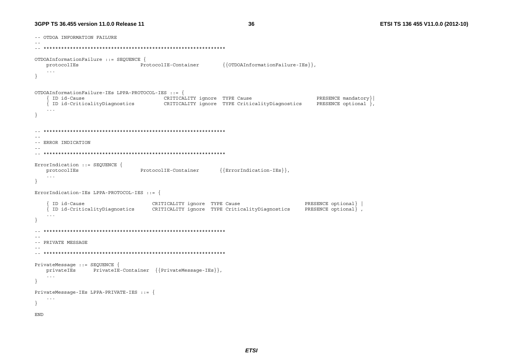#### 3GPP TS 36.455 version 11.0.0 Release 11

36

-- OTDOA INFORMATION FAILURE  $\sim$   $\sim$ OTDOAInformationFailure ::= SEOUENCE { {{OTDOAInformationFailure-IEs}} protocolIEs ProtocolIE-Container  $\sim 100$  $\mathcal{L}$ OTDOAInformationFailure-IEs LPPA-PROTOCOL-IES ::= { { ID id-Cause CRITICALITY ignore TYPE Cause PRESENCE mandatory } | { ID id-CriticalityDiagnostics CRITICALITY ignore TYPE CriticalityDiagnostics PRESENCE optional }  $\sim$   $\sim$   $\sim$  $\left\{ \right.$  $\sim$   $\sim$ -- ERROR INDICATION  $\sim$   $-$ ErrorIndication ::= SEOUENCE { protocolIEs  ${ErrorIndication-IES}$ , ProtocolIE-Container  $\sim 100$  $\rightarrow$ ErrorIndication-IEs LPPA-PROTOCOL-IES ::= { ID id-Cause CRITICALITY ignore TYPE Cause PRESENCE optional} | { ID id-CriticalityDiagnostics CRITICALITY ignore TYPE CriticalityDiagnostics PRESENCE optional },  $\sim 100$  $\rightarrow$  $\sim$   $-$ -- PRIVATE MESSAGE  $\sim$   $-$ PrivateMessage ::= SEQUENCE { privateIEs PrivateIE-Container {{PrivateMessage-IEs}},  $\sim 10$  $\left\{ \right.$ PrivateMessage-IEs LPPA-PRIVATE-IES ::= {  $\sim$   $\sim$   $\sim$  $\rightarrow$ **END**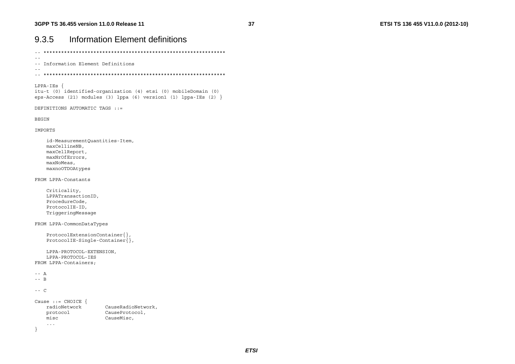| 9.3.5                                                                                                                                                    | <b>Information Element definitions</b>             |  |  |  |  |
|----------------------------------------------------------------------------------------------------------------------------------------------------------|----------------------------------------------------|--|--|--|--|
|                                                                                                                                                          |                                                    |  |  |  |  |
| -- Information Element Definitions                                                                                                                       |                                                    |  |  |  |  |
|                                                                                                                                                          |                                                    |  |  |  |  |
| $LPPA-IES$ {<br>itu-t (0) identified-organization (4) etsi (0) mobileDomain (0)<br>eps-Access (21) modules (3) $lppa$ (6) version1 (1) $lppa$ -IEs (2) } |                                                    |  |  |  |  |
|                                                                                                                                                          | DEFINITIONS AUTOMATIC TAGS ::=                     |  |  |  |  |
| <b>BEGIN</b>                                                                                                                                             |                                                    |  |  |  |  |
| IMPORTS                                                                                                                                                  |                                                    |  |  |  |  |
| id-MeasurementQuantities-Item,<br>maxCellineNB,<br>maxCellReport,<br>maxNrOfErrors,<br>maxNoMeas,<br>maxnoOTDOAtypes                                     |                                                    |  |  |  |  |
| FROM LPPA-Constants                                                                                                                                      |                                                    |  |  |  |  |
| Criticality,<br>LPPATransactionID,<br>ProcedureCode,<br>ProtocolIE-ID,<br>TriggeringMessage                                                              |                                                    |  |  |  |  |
| FROM LPPA-CommonDataTypes                                                                                                                                |                                                    |  |  |  |  |
| $ProtocolExtensionContainer\},$<br>$ProtocolIE-Single-Container\},$                                                                                      |                                                    |  |  |  |  |
| LPPA-PROTOCOL-EXTENSION,<br>LPPA-PROTOCOL-IES<br>FROM LPPA-Containers;                                                                                   |                                                    |  |  |  |  |
| $-- A$<br>$--$ B                                                                                                                                         |                                                    |  |  |  |  |
| $---$ C                                                                                                                                                  |                                                    |  |  |  |  |
| Cause $::=$ CHOICE $\{$<br>radioNetwork<br>protocol<br>misc<br>$\ddots$ .                                                                                | CauseRadioNetwork,<br>CauseProtocol,<br>CauseMisc, |  |  |  |  |
| ł                                                                                                                                                        |                                                    |  |  |  |  |

**ETSI**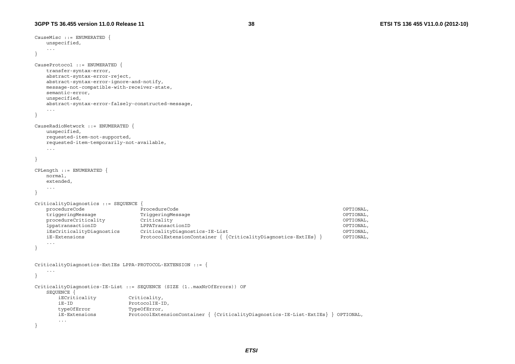```
CauseMisc ::= ENUMERATED { 
    unspecified, 
    ... } 
CauseProtocol ::= ENUMERATED { 
    transfer-syntax-error, 
    abstract-syntax-error-reject, 
    abstract-syntax-error-ignore-and-notify, 
    message-not-compatible-with-receiver-state, 
    semantic-error, 
    unspecified, 
    abstract-syntax-error-falsely-constructed-message, 
    ... } 
CauseRadioNetwork ::= ENUMERATED { 
    unspecified, 
    requested-item-not-supported, 
    requested-item-temporarily-not-available, 
 ... 
} 
CPLength ::= ENUMERATED { 
    normal, 
    extended, 
    ... } 
CriticalityDiagnostics ::= SEQUENCE { 
    procedureCode ProcedureCode OPTIONAL, 
    triggeringMessage TriggeringMessage OPTIONAL, 
   procedureCriticality Criticality Criticality Criticality OPTIONAL,
    lppatransactionID LPPATransactionID OPTIONAL, 
    iEsCriticalityDiagnostics CriticalityDiagnostics-IE-List OPTIONAL, 
    iE-Extensions ProtocolExtensionContainer { {CriticalityDiagnostics-ExtIEs} } OPTIONAL, 
    ... } 
CriticalityDiagnostics-ExtIEs LPPA-PROTOCOL-EXTENSION ::= { 
    ... } 
CriticalityDiagnostics-IE-List ::= SEQUENCE (SIZE (1..maxNrOfErrors)) OF 
    SEQUENCE { 
       iECriticality Criticality, 
       iE-ID ProtocolIE-ID, 
      typeOfError TypeOfError,
       iE-Extensions ProtocolExtensionContainer { {CriticalityDiagnostics-IE-List-ExtIEs} } OPTIONAL, 
       ... }
```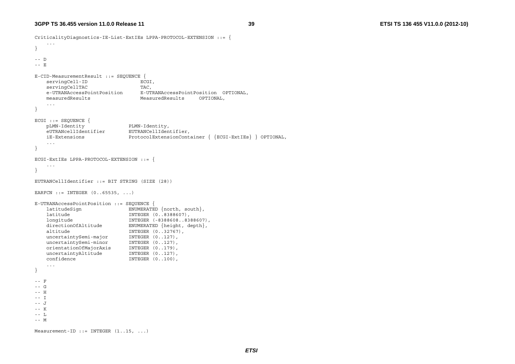```
CriticalityDiagnostics-IE-List-ExtIEs LPPA-PROTOCOL-EXTENSION ::= { 
     ... } 
-- D

-- E E-CID-MeasurementResult ::= SEQUENCE { 
    servingCell-ID ECGI,
    servingCellTAC TAC,
    e-UTRANAccessPointPosition E-UTRANAccessPointPosition OPTIONAL, 
     measuredResults MeasuredResults OPTIONAL, 
 ... 
} 
ECGI ::= SEQUENCE { 
    pLMN-Identity PLMN-Identity, 
                              EUTRANCellIdentifier,
    iE-Extensions ProtocolExtensionContainer { {ECGI-ExtIEs} } OPTIONAL, 
     ... } 
ECGI-ExtIEs LPPA-PROTOCOL-EXTENSION ::= { 
     ... } 
EUTRANCellIdentifier ::= BIT STRING (SIZE (28)) 
EARFCN ::= INTEGER (0..65535, ...) 
E-UTRANAccessPointPosition ::= SEQUENCE { 
   latitudeSign ENUMERATED {north, south},<br>latitude TNTEGER (0..8388607),
                             latitude INTEGER (0..8388607), 
    longitude INTEGER (-8388608..8388607), 
    directionOfAltitude ENUMERATED {height, depth},
   altitude INTEGER (0..32767),
    uncertaintySemi-major INTEGER (0..127),
    uncertaintySemi-minor INTEGER (0..127),
     orientationOfMajorAxis INTEGER (0..179), 
    uncertaintyAltitude INTEGER (0..127),<br>
confidence INTEGER (0..100).
                               confidence INTEGER (0..100), 
     ... } 
-- F -- G
-- H -- T
-- J 
-- K -- L -- M Measurement-ID ::= INTEGER (1..15, ...)
```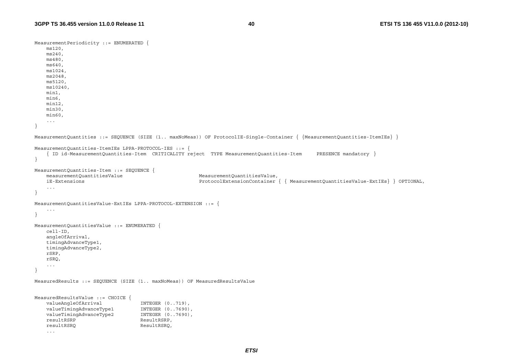```
MeasurementPeriodicity ::= ENUMERATED { 
     ms120, 
    ms240, 
     ms480, 
     ms640, 
     ms1024, 
    ms2048, 
     ms5120, 
     ms10240, 
     min1, 
     min6, 
     min12, 
     min30, 
     min60, 
     ... } 
MeasurementQuantities ::= SEQUENCE (SIZE (1.. maxNoMeas)) OF ProtocolIE-Single-Container { {MeasurementQuantities-ItemIEs} } 
MeasurementQuantities-ItemIEs LPPA-PROTOCOL-IES ::= { 
     { ID id-MeasurementQuantities-Item CRITICALITY reject TYPE MeasurementQuantities-Item PRESENCE mandatory } 
} 
MeasurementQuantities-Item ::= SEQUENCE { 
     measurementQuantitiesValue MeasurementQuantitiesValue, 
     iE-Extensions ProtocolExtensionContainer { { MeasurementQuantitiesValue-ExtIEs} } OPTIONAL, 
     ... } 
MeasurementQuantitiesValue-ExtIEs LPPA-PROTOCOL-EXTENSION ::= { 
     ... } 
MeasurementQuantitiesValue ::= ENUMERATED { 
     cell-ID, 
     angleOfArrival, 
     timingAdvanceType1, 
     timingAdvanceType2, 
     rSRP, 
     rSRQ, 
     ... } 
MeasuredResults ::= SEQUENCE (SIZE (1.. maxNoMeas)) OF MeasuredResultsValue 
MeasuredResultsValue ::= CHOICE { 
    valueAngleOfArrival INTEGER (0..719),
    valueTimingAdvanceType1 INTEGER (0..7690),
    valueTimingAdvanceType2 INTEGER (0..7690),<br>resultRSRP
                                   ResultRSRP,
    resultRSRQ ResultRSRQ,
     ...
```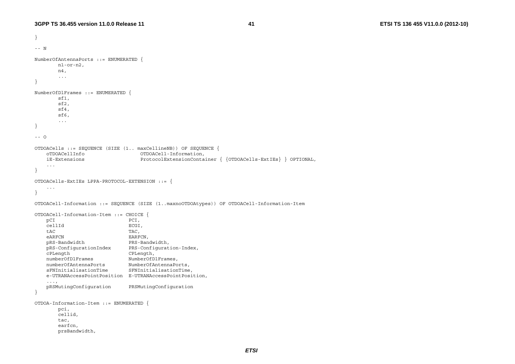```
} 
-- N NumberOfAntennaPorts ::= ENUMERATED { 
        n1-or-n2, 
        n4, 
         ... } 
NumberOfDlFrames ::= ENUMERATED { 
        sf1, 
        sf2, 
        sf4, 
        sf6, 
         ... } 
-- O
OTDOACells ::= SEQUENCE (SIZE (1.. maxCellineNB)) OF SEQUENCE { 
    oTDOACellInfo OTDOACell-Information, 
    iE-Extensions ProtocolExtensionContainer { {OTDOACells-ExtIEs} } OPTIONAL, 
     ... } 
OTDOACells-ExtIEs LPPA-PROTOCOL-EXTENSION ::= { 
     ... } 
OTDOACell-Information ::= SEQUENCE (SIZE (1..maxnoOTDOAtypes)) OF OTDOACell-Information-Item 
OTDOACell-Information-Item ::= CHOICE { 
   pCI PCI,
     cellId ECGI, 
     tAC TAC, 
    eARFCN EARFCN,
   pRS-Bandwidth PRS-Bandwidth,<br>pRS-ConfigurationIndex PRS-Configuration-Index,
   pRS-ConfigurationIndex
   cPLength<br>
numberOfDlFrames<br>
NumberOfD
                              NumberOfDlFrames,
     numberOfAntennaPorts NumberOfAntennaPorts, 
     sFNInitialisationTime SFNInitialisationTime, 
     e-UTRANAccessPointPosition E-UTRANAccessPointPosition, 
     ..., 
     pRSMutingConfiguration PRSMutingConfiguration 
} 
OTDOA-Information-Item ::= ENUMERATED { 
        pci, 
        cellid, 
        tac, 
        earfcn, 
        prsBandwidth,
```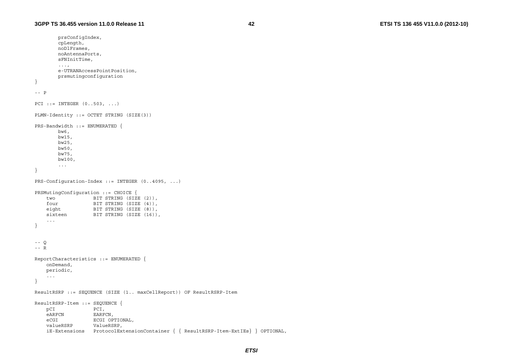```
 prsConfigIndex, 
        cpLength, 
        noDlFrames, 
        noAntennaPorts, 
        sFNInitTime, 
        ..., 
        e-UTRANAccessPointPosition, 
        prsmutingconfiguration 
} 
-- P
PCI ::= INTEGER (0..503, ...)PLMN-Identity ::= OCTET STRING (SIZE(3)) 
PRS-Bandwidth ::= ENUMERATED { 
        bw6, 
        bw15, 
        bw25, 
        bw50, 
        bw75, 
        bw100, 
 ... 
} 
PRS-Configuration-Index ::= INTEGER (0..4095, ...) 
PRSMutingConfiguration ::= CHOICE { 
    two BIT STRING (SIZE (2)), 
    four BIT STRING (SIZE (4)),
   eight BIT STRING (SIZE (8)),
   sixteen BIT STRING (SIZE (16)),
 ... 
} 
-- Q
-- R ReportCharacteristics ::= ENUMERATED { 
    onDemand, 
    periodic, 
 ... 
} 
ResultRSRP ::= SEQUENCE (SIZE (1.. maxCellReport)) OF ResultRSRP-Item 
ResultRSRP-Item ::= SEQUENCE { 
    pCI PCI, 
    eARFCN EARFCN,
     eCGI ECGI OPTIONAL, 
     valueRSRP ValueRSRP, 
     iE-Extensions ProtocolExtensionContainer { { ResultRSRP-Item-ExtIEs} } OPTIONAL,
```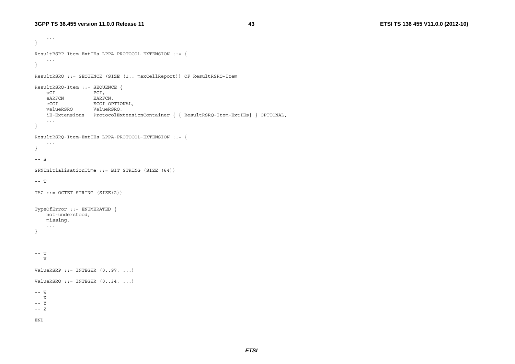**43 ETSI TS 136 455 V11.0.0 (2012-10)**

```
 ... 
} 
ResultRSRP-Item-ExtIEs LPPA-PROTOCOL-EXTENSION ::= { 
 ... 
} 
ResultRSRQ ::= SEQUENCE (SIZE (1.. maxCellReport)) OF ResultRSRQ-Item 
ResultRSRQ-Item ::= SEQUENCE { 
    pCI PCI, 
   eARFCN EARFCN,
    eCGI ECGI OPTIONAL, 
    valueRSRQ ValueRSRQ, 
    iE-Extensions ProtocolExtensionContainer { { ResultRSRQ-Item-ExtIEs} } OPTIONAL, 
     ... } 
ResultRSRQ-Item-ExtIEs LPPA-PROTOCOL-EXTENSION ::= { 
 ... 
} 
-- S SFNInitialisationTime ::= BIT STRING (SIZE (64)) 
- - T
TAC ::= OCTET STRING (SIZE(2)) 
TypeOfError ::= ENUMERATED { 
    not-understood, 
    missing, 
 ... 
} 
-- U

-- V ValueRSRP ::= INTEGER (0..97, ...)ValueRSRQ ::= INTEGR (0..34, ...)-- W 
-- X -- Y -- Z END
```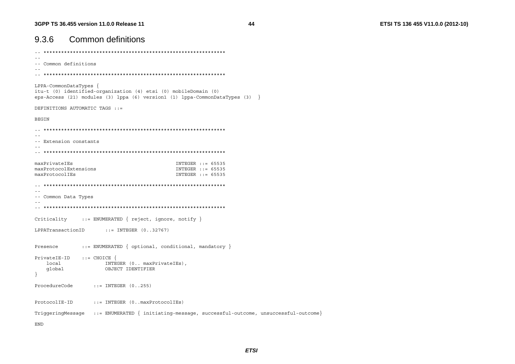| <b>Common definitions</b><br>9.3.6                                                                                                                                                |
|-----------------------------------------------------------------------------------------------------------------------------------------------------------------------------------|
|                                                                                                                                                                                   |
| -- Common definitions                                                                                                                                                             |
|                                                                                                                                                                                   |
| LPPA-CommonDataTypes {<br>itu-t (0) identified-organization (4) etsi (0) mobileDomain (0)<br>eps-Access (21) modules (3) $lppa$ (6) version1 (1) $lppa$ -CommonDataTypes (3) $\}$ |
| DEFINITIONS AUTOMATIC TAGS ::=                                                                                                                                                    |
| <b>BEGIN</b>                                                                                                                                                                      |
|                                                                                                                                                                                   |
| -- Extension constants                                                                                                                                                            |
|                                                                                                                                                                                   |
| maxPrivateIEs<br>INTEGER $::= 65535$<br>maxProtocolExtensions<br>INTEGER $::= 65535$<br>maxProtocolIEs<br>INTEGER $: := 65535$                                                    |
|                                                                                                                                                                                   |
| -- Common Data Types                                                                                                                                                              |
|                                                                                                                                                                                   |
| $::=$ ENUMERATED { reject, ignore, notify }<br>Criticality                                                                                                                        |
| $::=$ INTEGER $(032767)$<br>LPPATransactionID                                                                                                                                     |
| $::=$ ENUMERATED $\{$ optional, conditional, mandatory $\}$<br>Presence                                                                                                           |
| $PrivateIE-ID ::=CHOICE {\n$<br>local<br>INTEGER (0 maxPrivateIEs),<br>OBJECT IDENTIFIER<br>qlobal                                                                                |
| ProcedureCode<br>$::=$ INTEGER $(0255)$                                                                                                                                           |
| ProtocolIE-ID<br>$::=$ INTEGER $(0$ maxProtocolIEs $)$                                                                                                                            |
| TriggeringMessage ::= ENUMERATED { initiating-message, successful-outcome, unsuccessful-outcome}                                                                                  |
| <b>END</b>                                                                                                                                                                        |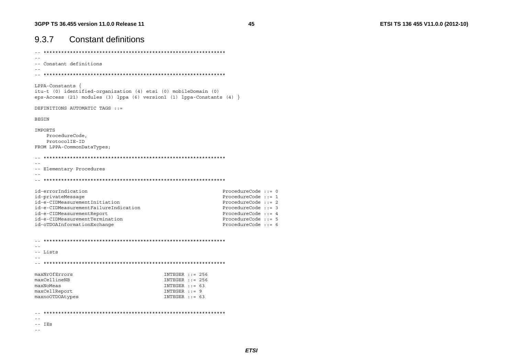| 9.3.7                                                                          | <b>Constant definitions</b>                                                                                                                                         |                                                                                                  |                                                                                                                                                                            |  |
|--------------------------------------------------------------------------------|---------------------------------------------------------------------------------------------------------------------------------------------------------------------|--------------------------------------------------------------------------------------------------|----------------------------------------------------------------------------------------------------------------------------------------------------------------------------|--|
|                                                                                |                                                                                                                                                                     |                                                                                                  |                                                                                                                                                                            |  |
|                                                                                | -- Constant definitions                                                                                                                                             |                                                                                                  |                                                                                                                                                                            |  |
|                                                                                |                                                                                                                                                                     |                                                                                                  |                                                                                                                                                                            |  |
| $LPPA$ -Constants {                                                            | itu-t (0) identified-organization (4) etsi (0) mobileDomain (0)<br>eps-Access (21) modules (3) $1$ ppa (6) version1 (1) $1$ ppa-Constants (4) }                     |                                                                                                  |                                                                                                                                                                            |  |
|                                                                                | DEFINITIONS AUTOMATIC TAGS ::=                                                                                                                                      |                                                                                                  |                                                                                                                                                                            |  |
| <b>BEGIN</b>                                                                   |                                                                                                                                                                     |                                                                                                  |                                                                                                                                                                            |  |
| IMPORTS                                                                        | ProcedureCode,<br>ProtocolIE-ID<br>FROM LPPA-CommonDataTypes;                                                                                                       |                                                                                                  |                                                                                                                                                                            |  |
|                                                                                | -- Elementary Procedures                                                                                                                                            |                                                                                                  |                                                                                                                                                                            |  |
| id-errorIndication<br>id-privateMessaqe                                        | id-e-CIDMeasurementInitiation<br>id-e-CIDMeasurementFailureIndication<br>id-e-CIDMeasurementReport<br>id-e-CIDMeasurementTermination<br>id-oTDOAInformationExchange |                                                                                                  | ProcedureCode $::= 0$<br>ProcedureCode $::= 1$<br>ProcedureCode $::= 2$<br>ProcedureCode $::= 3$<br>ProcedureCode $::= 4$<br>ProcedureCode $:= 5$<br>ProcedureCode $: = 6$ |  |
| -- Lists                                                                       |                                                                                                                                                                     |                                                                                                  |                                                                                                                                                                            |  |
| maxNrOfErrors<br>maxCellineNB<br>maxNoMeas<br>maxCellReport<br>maxnoOTDOAtypes |                                                                                                                                                                     | $INTEGR$ ::= 256<br>$INTEGR$ ::= 256<br>INTEGER $: := 63$<br>$INTEGR :: = 9$<br>INTEGER $::= 63$ |                                                                                                                                                                            |  |
|                                                                                |                                                                                                                                                                     |                                                                                                  |                                                                                                                                                                            |  |

 $--$  IEs

 $\omega$   $\omega$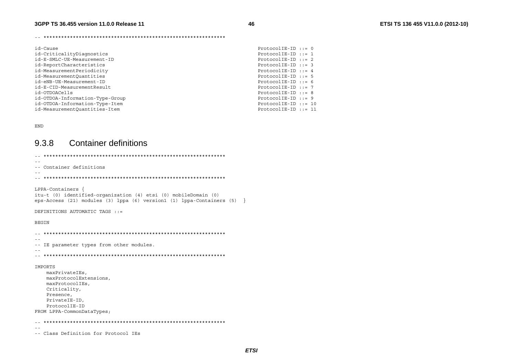46

| id-Cause                        | $ProtocolIE-ID :: = 0$ |  |
|---------------------------------|------------------------|--|
| id-CriticalityDiaqnostics       | $ProtocolIE-ID ::= 1$  |  |
| id-E-SMLC-UE-Measurement-ID     | $ProtocolIE-ID ::= 2$  |  |
| id-ReportCharacteristics        | $ProtocolIE-ID ::= 3$  |  |
| id-MeasurementPeriodicity       | ProtocolIE-ID $::= 4$  |  |
| id-MeasurementOuantities        | $ProtocolIE-ID :: = 5$ |  |
| id-eNB-UE-Measurement-ID        | ProtocolIE-ID $::= 6$  |  |
| id-E-CID-MeasurementResult      | $ProtocolIE-ID ::= 7$  |  |
| id-OTDOACells                   | ProtocolIE-ID $:= 8$   |  |
| id-OTDOA-Information-Type-Group | $ProtocolIE-ID ::= 9$  |  |
| id-OTDOA-Information-Type-Item  | $ProtocolIE-ID ::= 10$ |  |
| id-MeasurementOuantities-Item   | $ProtocolIE-ID ::= 11$ |  |
|                                 |                        |  |

END

#### 9.3.8 **Container definitions**

| -- Container definitions                                                                                                                                                      |
|-------------------------------------------------------------------------------------------------------------------------------------------------------------------------------|
|                                                                                                                                                                               |
| $LPPA$ -Containers {<br>itu-t (0) identified-organization (4) etsi (0) mobileDomain (0)<br>$eps-Access$ (21) modules (3) $lppa$ (6) version1 (1) $lppa$ -Containers (5)<br>ႃ} |
| DEFINITIONS AUTOMATIC TAGS ::=                                                                                                                                                |
| <b>BEGIN</b>                                                                                                                                                                  |
| IE parameter types from other modules.                                                                                                                                        |
| IMPORTS<br>maxPrivateIEs,<br>maxProtocolExtensions,<br>maxProtocolIEs,<br>Criticality,<br>Presence,<br>PrivateIE-ID,<br>ProtocolIE-ID<br>FROM LPPA-CommonDataTypes;           |
|                                                                                                                                                                               |
|                                                                                                                                                                               |
| -- Class Definition for Protocol IEs                                                                                                                                          |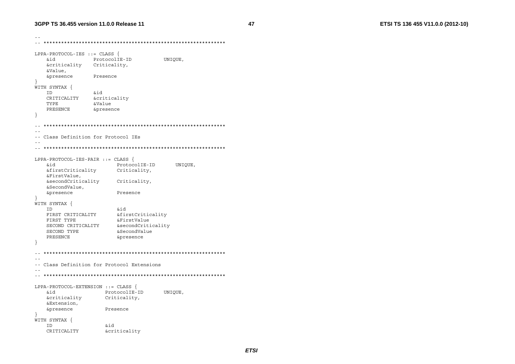```
\sim -LPPA-PROTOCOL-IES ::= CLASS {
   hia
             ProtocolIE-ID
                                 UNIOUE,
   &criticality Criticality,
   &Value,
   &presence
               Presence
\rightarrowWITH SYNTAX {
  ID
               &id
   CRITICALITY
               &criticality
  TYPE
               &Value
   PRESENCE
               &presence
\rightarrow\sim \sim\sim --- Class Definition for Protocol IEs
\sim \simLPPA-PROTOCOL-IES-PAIR ::= CLASS {
                                    UNIQUE,
   &id
                    ProtocolIE-ID
   &firstCriticality
                    Criticality,
   &FirstValue.
   &secondCriticality
                    Criticality,
   &SecondValue,
   &presence
                    Presence
\lambdaWITH SYNTAX {
                    &id
  TD.
   FIRST CRITICALITY
                   &firstCriticality
   FIRST TYPE
                   &FirstValue
   SECOND CRITICALITY 6secondCriticality
   SECOND TYPE
                    &SecondValue
                     &presence
   PRESENCE
\rightarrow\sim \sim-- Class Definition for Protocol Extensions
\sim -LPPA-PROTOCOL-EXTENSION ::= CLASS {
  &id
                 ProtocolIE-ID
                                 UNIQUE,
   &criticality
                 Criticality,
   &Extension,
   &presence
                 Presence
ો
WITH SYNTAX {
   ID
                  &id
                  &criticality
   CRITICALITY
```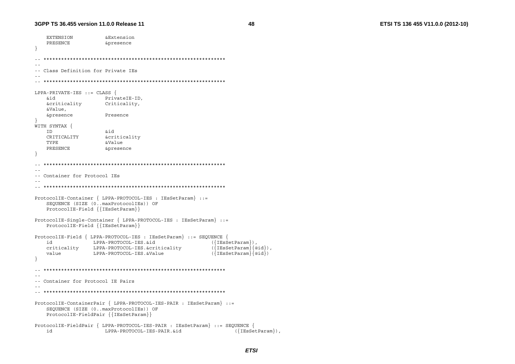ETSI TS 136 455 V11.0.0 (2012-10)

```
EXTENSION
                   &Extension
   PRESENCE
                   &presence
\overline{\phantom{a}}\sim --- Class Definition for Private IEs
LPPA-PRIVATE-IES ::= CLASS {
   &id
                  PrivateIE-ID,
   &criticality
                 Criticality,
   &Value.
   &presence
                 Presence
WITH SYNTAX {
   TD.
                  bia
   CRITICALITY
                  &criticality
   TYPE
                   &Value
   PRESENCE
                   &presence
\rightarrow- --- Container for Protocol IEs
\sim -ProtocolIE-Container { LPPA-PROTOCOL-IES : IEsSetParam} ::=
   SEQUENCE (SIZE (0..maxProtocolIEs)) OF
   ProtocolIE-Field { {IEsSetParam}}
ProtocolIE-Single-Container { LPPA-PROTOCOL-IES : IEsSetParam} ::=
   ProtocolIE-Field { {IESSetParam}}
ProtocolIE-Field { LPPA-PROTOCOL-IES : IESSetParam} ::= SEQUENCE {
   id
              LPPA-PROTOCOL-IES.&id
                                               ({EssetParam}),
                                               (\{IEsSetParam\}\{@id\}),
   criticality LPPA-PROTOCOL-IES.&criticality
                                               (\overline{IEsSetParam}\overline{aid})value
              LPPA-PROTOCOL-IES. &Value
\overline{\phantom{a}}- --- Container for Protocol IE Pairs
- -ProtocolIE-ContainerPair { LPPA-PROTOCOL-IES-PAIR : IESSetParam} ::=
   SEQUENCE (SIZE (0..maxProtocolIEs)) OF
   ProtocolIE-FieldPair { {IESSetParam}}
ProtocolIE-FieldPair { LPPA-PROTOCOL-IES-PAIR : IESSetParam} ::= SEQUENCE {
   id
                  LPPA-PROTOCOL-IES-PAIR.&id
                                                      ({\text{IEsSetParam}}),
```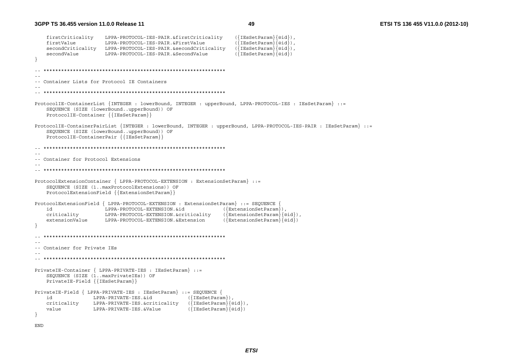**3GPP TS 36.455 version 11.0.0 Release 11**

```
 firstCriticality LPPA-PROTOCOL-IES-PAIR.&firstCriticality ({IEsSetParam}{@id}), 
    firstValue LPPA-PROTOCOL-IES-PAIR.&FirstValue ({IEsSetParam}{@id}), 
    secondCriticality LPPA-PROTOCOL-IES-PAIR.&secondCriticality
     secondValue LPPA-PROTOCOL-IES-PAIR.&SecondValue ({IEsSetParam}{@id}) 
} 
  -- ************************************************************** -- -- Container Lists for Protocol IE Containers -- -- ************************************************************** ProtocolIE-ContainerList {INTEGER : lowerBound, INTEGER : upperBound, LPPA-PROTOCOL-IES : IEsSetParam} ::= 
    SEQUENCE (SIZE (lowerBound..upperBound)) OF 
    ProtocolIE-Container {{IEsSetParam}} 
ProtocolIE-ContainerPairList {INTEGER : lowerBound, INTEGER : upperBound, LPPA-PROTOCOL-IES-PAIR : IEsSetParam} ::= 
    SEQUENCE (SIZE (lowerBound..upperBound)) OF 
    ProtocolIE-ContainerPair {{IEsSetParam}} 
   -- ************************************************************** -- -- Container for Protocol Extensions -- -- ************************************************************** ProtocolExtensionContainer { LPPA-PROTOCOL-EXTENSION : ExtensionSetParam} ::= 
    SEQUENCE (SIZE (1..maxProtocolExtensions)) OF 
    ProtocolExtensionField {{ExtensionSetParam}} 
ProtocolExtensionField { LPPA-PROTOCOL-EXTENSION : ExtensionSetParam} ::= SEQUENCE { 
    id LPPA-PROTOCOL-EXTENSION.&id ({ExtensionSetParam}), 
    criticality LPPA-PROTOCOL-EXTENSION.&criticality ({ExtensionSetParam}{@id}), 
    extensionValue LPPA-PROTOCOL-EXTENSION.&Extension
} 
     -- ************************************************************** -- -- Container for Private IEs -- 
-- ************************************************************** PrivateIE-Container { LPPA-PRIVATE-IES : IEsSetParam} ::= 
    SEQUENCE (SIZE (1..maxPrivateIEs)) OF 
    PrivateIE-Field {{IEsSetParam}} 
PrivateIE-Field { LPPA-PRIVATE-IES : IEsSetParam} ::= SEQUENCE {
    id LPPA-PRIVATE-IES.&id ({IEsSetParam}), 
    criticality LPPA-PRIVATE-IES.&criticality ({IEsSetParam}{@id}), 
   value LPPA-PRIVATE-IES.&Value
} 
END
```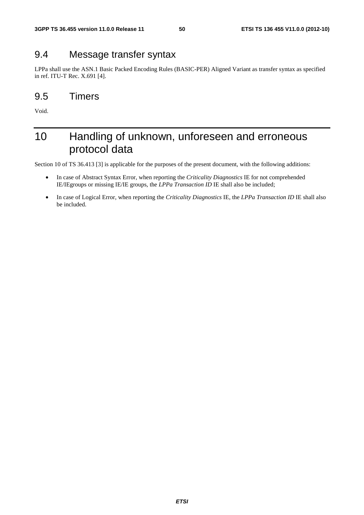### 9.4 Message transfer syntax

LPPa shall use the ASN.1 Basic Packed Encoding Rules (BASIC-PER) Aligned Variant as transfer syntax as specified in ref. ITU-T Rec. X.691 [4].

### 9.5 Timers

Void.

### 10 Handling of unknown, unforeseen and erroneous protocol data

Section 10 of TS 36.413 [3] is applicable for the purposes of the present document, with the following additions:

- In case of Abstract Syntax Error, when reporting the *Criticality Diagnostics* IE for not comprehended IE/IEgroups or missing IE/IE groups, the *LPPa Transaction ID* IE shall also be included;
- In case of Logical Error, when reporting the *Criticality Diagnostics* IE, the *LPPa Transaction ID* IE shall also be included.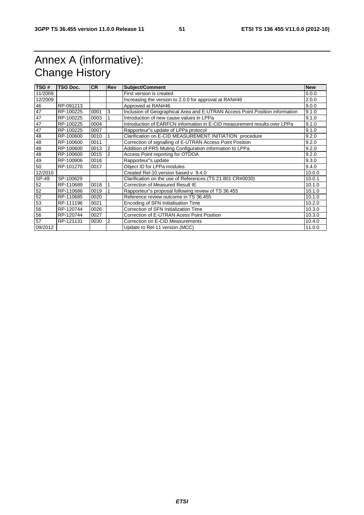### Annex A (informative): Change History

| TSG#    | <b>TSG Doc.</b> | <b>CR</b> | <b>Rev</b>     | Subject/Comment                                                              | <b>New</b> |
|---------|-----------------|-----------|----------------|------------------------------------------------------------------------------|------------|
| 11/2009 |                 |           |                | First version is created                                                     | 0.0.0      |
| 12/2009 |                 |           |                | Increasing the version to 2.0.0 for approval at RAN#46                       | 2.0.0      |
| 46      | RP-091213       |           |                | Approved at RAN#46                                                           | 9.0.0      |
| 47      | RP-100225       | 0001      | 3              | Inclusion of Geographical Area and E-UTRAN Access Point Position information | 9.1.0      |
| 47      | RP-100225       | 0003      |                | Introduction of new cause values in LPPa                                     | 9.1.0      |
| 47      | RP-100225       | 0004      |                | Introduction of EARFCN information in E-CID measurement results over LPPa    | 9.1.0      |
| 47      | RP-100225       | 0007      |                | Rapporteur"s update of LPPa protocol                                         | 9.1.0      |
| 48      | RP-100600       | 0010      |                | Clarification on E-CID MEASUREMENT INITIATION procedure                      | 9.2.0      |
| 48      | RP-100600       | 0011      |                | Correction of signalling of E-UTRAN Access Point Position                    | 9.2.0      |
| 48      | RP-100600       | 0013      | 2              | Addition of PRS Muting Configuration information to LPPa                     | 9.2.0      |
| 48      | RP-100600       | 0015      | $\overline{2}$ | Access Point reporting for OTDOA                                             | 9.2.0      |
| 49      | RP-100906       | 0016      |                | Rapporteur"s update                                                          | 9.3.0      |
| 50      | RP-101270       | 0017      |                | Object ID for LPPa modules                                                   | 9.4.0      |
| 12/2010 |                 |           |                | Created Rel-10 version based v. 9.4.0                                        | 10.0.0     |
| SP-49   | SP-100629       |           |                | Clarification on the use of References (TS 21.801 CR#0030)                   | 10.0.1     |
| 52      | RP-110689       | 0018      |                | Correction of Measured Result IE                                             | 10.1.0     |
| 52      | RP-110686       | 0019      |                | Rapporteur"s proposal following review of TS 36.455                          | 10.1.0     |
| 52      | RP-110685       | 0020      |                | Reference review outcome in TS 36.455                                        | 10.1.0     |
| 53      | RP-111196       | 0021      |                | Encoding of SFN Initialisation Time                                          | 10.2.0     |
| 56      | RP-120744       | 0026      |                | Correction of SFN Initialization Time                                        | 10.3.0     |
| 56      | RP-120744       | 0027      |                | Correction of E-UTRAN Acess Point Position                                   | 10.3.0     |
| 57      | RP-121131       | 0030      | $\overline{2}$ | Correction on E-CID Measurements                                             | 10.4.0     |
| 09/2012 |                 |           |                | Update to Rel-11 version (MCC)                                               | 11.0.0     |